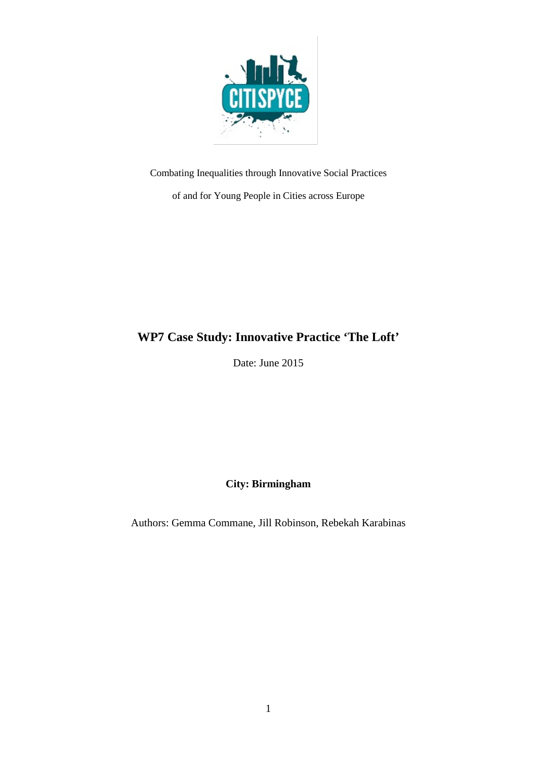

Combating Inequalities through Innovative Social Practices

of and for Young People in Cities across Europe

## **WP7 Case Study: Innovative Practice 'The Loft'**

Date: June 2015

**City: Birmingham**

Authors: Gemma Commane, Jill Robinson, Rebekah Karabinas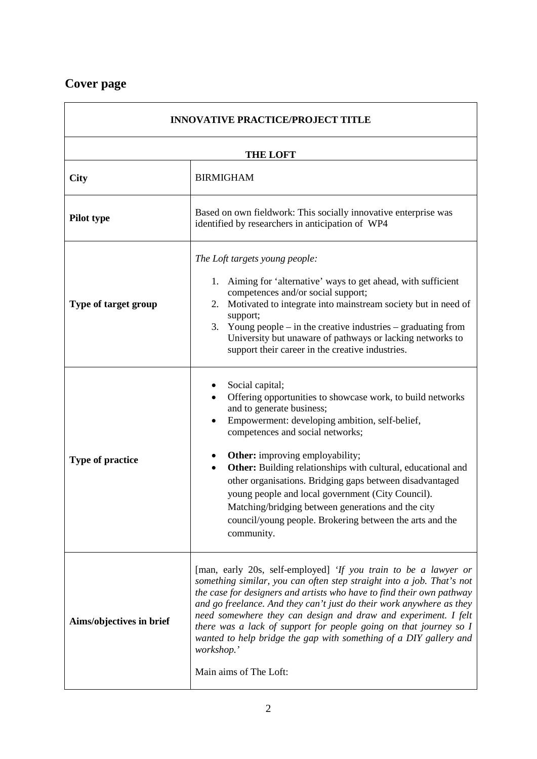## **Cover page**

| <b>INNOVATIVE PRACTICE/PROJECT TITLE</b> |                                                                                                                                                                                                                                                                                                                                                                                                                                                                                                                                                                  |  |  |
|------------------------------------------|------------------------------------------------------------------------------------------------------------------------------------------------------------------------------------------------------------------------------------------------------------------------------------------------------------------------------------------------------------------------------------------------------------------------------------------------------------------------------------------------------------------------------------------------------------------|--|--|
| <b>THE LOFT</b>                          |                                                                                                                                                                                                                                                                                                                                                                                                                                                                                                                                                                  |  |  |
| <b>City</b>                              | <b>BIRMIGHAM</b>                                                                                                                                                                                                                                                                                                                                                                                                                                                                                                                                                 |  |  |
| Pilot type                               | Based on own fieldwork: This socially innovative enterprise was<br>identified by researchers in anticipation of WP4                                                                                                                                                                                                                                                                                                                                                                                                                                              |  |  |
| Type of target group                     | The Loft targets young people:<br>Aiming for 'alternative' ways to get ahead, with sufficient<br>1.<br>competences and/or social support;<br>2. Motivated to integrate into mainstream society but in need of<br>support;<br>3. Young people $-$ in the creative industries $-$ graduating from<br>University but unaware of pathways or lacking networks to<br>support their career in the creative industries.                                                                                                                                                 |  |  |
| <b>Type of practice</b>                  | Social capital;<br>Offering opportunities to showcase work, to build networks<br>and to generate business;<br>Empowerment: developing ambition, self-belief,<br>competences and social networks;<br><b>Other:</b> improving employability;<br>٠<br>Other: Building relationships with cultural, educational and<br>other organisations. Bridging gaps between disadvantaged<br>young people and local government (City Council).<br>Matching/bridging between generations and the city<br>council/young people. Brokering between the arts and the<br>community. |  |  |
| Aims/objectives in brief                 | [man, early 20s, self-employed] 'If you train to be a lawyer or<br>something similar, you can often step straight into a job. That's not<br>the case for designers and artists who have to find their own pathway<br>and go freelance. And they can't just do their work anywhere as they<br>need somewhere they can design and draw and experiment. I felt<br>there was a lack of support for people going on that journey so I<br>wanted to help bridge the gap with something of a DIY gallery and<br>workshop.'<br>Main aims of The Loft:                    |  |  |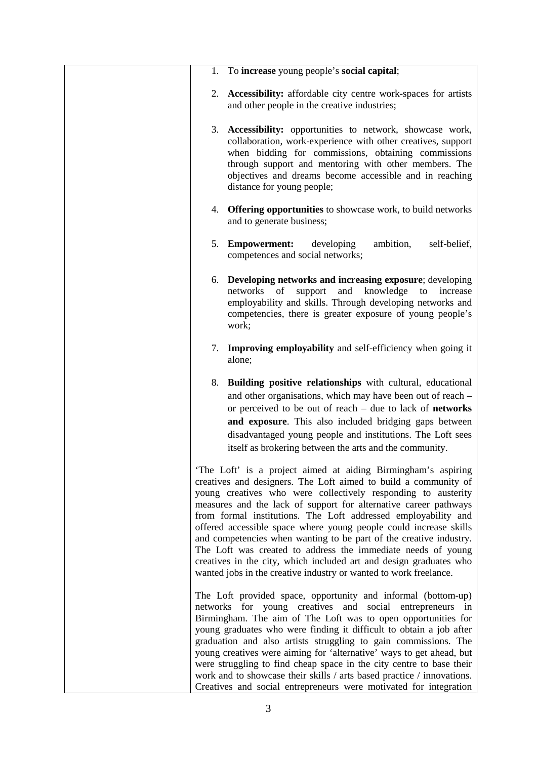| 1. To increase young people's social capital;                                                                                                                                                                                                                                                                                                                                                                                                                                                                                                                                                                                                                                                 |
|-----------------------------------------------------------------------------------------------------------------------------------------------------------------------------------------------------------------------------------------------------------------------------------------------------------------------------------------------------------------------------------------------------------------------------------------------------------------------------------------------------------------------------------------------------------------------------------------------------------------------------------------------------------------------------------------------|
| 2. Accessibility: affordable city centre work-spaces for artists<br>and other people in the creative industries;                                                                                                                                                                                                                                                                                                                                                                                                                                                                                                                                                                              |
| 3. Accessibility: opportunities to network, showcase work,<br>collaboration, work-experience with other creatives, support<br>when bidding for commissions, obtaining commissions<br>through support and mentoring with other members. The<br>objectives and dreams become accessible and in reaching<br>distance for young people;                                                                                                                                                                                                                                                                                                                                                           |
| 4. Offering opportunities to showcase work, to build networks<br>and to generate business;                                                                                                                                                                                                                                                                                                                                                                                                                                                                                                                                                                                                    |
| 5. Empowerment:<br>developing<br>ambition,<br>self-belief,<br>competences and social networks;                                                                                                                                                                                                                                                                                                                                                                                                                                                                                                                                                                                                |
| 6. Developing networks and increasing exposure; developing<br>networks<br>and<br>knowledge<br>of<br>support<br>increase<br>to<br>employability and skills. Through developing networks and<br>competencies, there is greater exposure of young people's<br>work;                                                                                                                                                                                                                                                                                                                                                                                                                              |
| 7. Improving employability and self-efficiency when going it<br>alone;                                                                                                                                                                                                                                                                                                                                                                                                                                                                                                                                                                                                                        |
| 8. Building positive relationships with cultural, educational<br>and other organisations, which may have been out of reach -<br>or perceived to be out of reach $-$ due to lack of <b>networks</b><br>and exposure. This also included bridging gaps between<br>disadvantaged young people and institutions. The Loft sees<br>itself as brokering between the arts and the community.                                                                                                                                                                                                                                                                                                         |
| 'The Loft' is a project aimed at aiding Birmingham's aspiring<br>creatives and designers. The Loft aimed to build a community of<br>young creatives who were collectively responding to austerity<br>measures and the lack of support for alternative career pathways<br>from formal institutions. The Loft addressed employability and<br>offered accessible space where young people could increase skills<br>and competencies when wanting to be part of the creative industry.<br>The Loft was created to address the immediate needs of young<br>creatives in the city, which included art and design graduates who<br>wanted jobs in the creative industry or wanted to work freelance. |
| The Loft provided space, opportunity and informal (bottom-up)<br>networks for young creatives and social entrepreneurs in<br>Birmingham. The aim of The Loft was to open opportunities for<br>young graduates who were finding it difficult to obtain a job after<br>graduation and also artists struggling to gain commissions. The<br>young creatives were aiming for 'alternative' ways to get ahead, but<br>were struggling to find cheap space in the city centre to base their<br>work and to showcase their skills / arts based practice / innovations.<br>Creatives and social entrepreneurs were motivated for integration                                                           |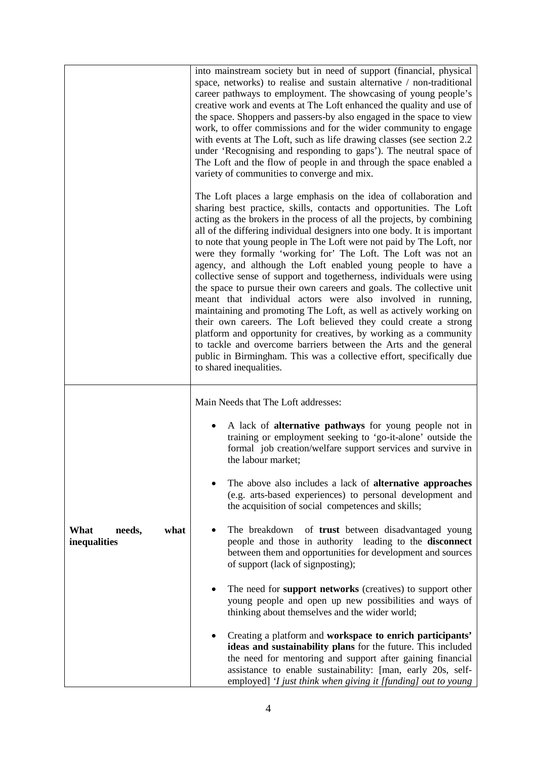|                                        | into mainstream society but in need of support (financial, physical<br>space, networks) to realise and sustain alternative / non-traditional<br>career pathways to employment. The showcasing of young people's<br>creative work and events at The Loft enhanced the quality and use of<br>the space. Shoppers and passers-by also engaged in the space to view<br>work, to offer commissions and for the wider community to engage<br>with events at The Loft, such as life drawing classes (see section 2.2)<br>under 'Recognising and responding to gaps'). The neutral space of<br>The Loft and the flow of people in and through the space enabled a<br>variety of communities to converge and mix.                                                                                                                                                                                                                                                                                                                                                                                                     |
|----------------------------------------|--------------------------------------------------------------------------------------------------------------------------------------------------------------------------------------------------------------------------------------------------------------------------------------------------------------------------------------------------------------------------------------------------------------------------------------------------------------------------------------------------------------------------------------------------------------------------------------------------------------------------------------------------------------------------------------------------------------------------------------------------------------------------------------------------------------------------------------------------------------------------------------------------------------------------------------------------------------------------------------------------------------------------------------------------------------------------------------------------------------|
|                                        | The Loft places a large emphasis on the idea of collaboration and<br>sharing best practice, skills, contacts and opportunities. The Loft<br>acting as the brokers in the process of all the projects, by combining<br>all of the differing individual designers into one body. It is important<br>to note that young people in The Loft were not paid by The Loft, nor<br>were they formally 'working for' The Loft. The Loft was not an<br>agency, and although the Loft enabled young people to have a<br>collective sense of support and togetherness, individuals were using<br>the space to pursue their own careers and goals. The collective unit<br>meant that individual actors were also involved in running,<br>maintaining and promoting The Loft, as well as actively working on<br>their own careers. The Loft believed they could create a strong<br>platform and opportunity for creatives, by working as a community<br>to tackle and overcome barriers between the Arts and the general<br>public in Birmingham. This was a collective effort, specifically due<br>to shared inequalities. |
|                                        | Main Needs that The Loft addresses:                                                                                                                                                                                                                                                                                                                                                                                                                                                                                                                                                                                                                                                                                                                                                                                                                                                                                                                                                                                                                                                                          |
|                                        | A lack of <b>alternative pathways</b> for young people not in<br>training or employment seeking to 'go-it-alone' outside the<br>formal job creation/welfare support services and survive in<br>the labour market;                                                                                                                                                                                                                                                                                                                                                                                                                                                                                                                                                                                                                                                                                                                                                                                                                                                                                            |
|                                        | The above also includes a lack of <b>alternative approaches</b><br>(e.g. arts-based experiences) to personal development and<br>the acquisition of social competences and skills;                                                                                                                                                                                                                                                                                                                                                                                                                                                                                                                                                                                                                                                                                                                                                                                                                                                                                                                            |
| what<br>What<br>needs,<br>inequalities | The breakdown<br>of <b>trust</b> between disadvantaged young<br>people and those in authority leading to the disconnect<br>between them and opportunities for development and sources<br>of support (lack of signposting);                                                                                                                                                                                                                                                                                                                                                                                                                                                                                                                                                                                                                                                                                                                                                                                                                                                                                   |
|                                        | The need for support networks (creatives) to support other<br>young people and open up new possibilities and ways of<br>thinking about themselves and the wider world;                                                                                                                                                                                                                                                                                                                                                                                                                                                                                                                                                                                                                                                                                                                                                                                                                                                                                                                                       |
|                                        | Creating a platform and workspace to enrich participants'<br>ideas and sustainability plans for the future. This included<br>the need for mentoring and support after gaining financial<br>assistance to enable sustainability: [man, early 20s, self-<br>employed] 'I just think when giving it [funding] out to young                                                                                                                                                                                                                                                                                                                                                                                                                                                                                                                                                                                                                                                                                                                                                                                      |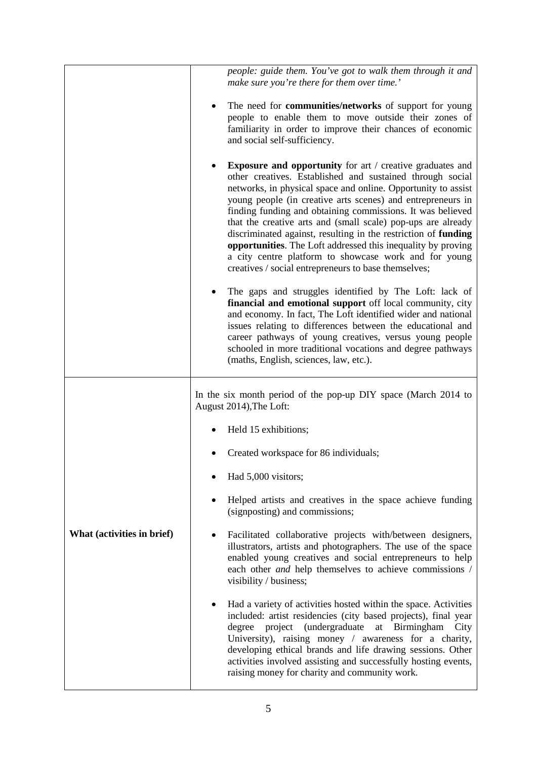|                            | people: guide them. You've got to walk them through it and<br>make sure you're there for them over time.'                                                                                                                                                                                                                                                                                                                                                                                                                                                                                                                                      |
|----------------------------|------------------------------------------------------------------------------------------------------------------------------------------------------------------------------------------------------------------------------------------------------------------------------------------------------------------------------------------------------------------------------------------------------------------------------------------------------------------------------------------------------------------------------------------------------------------------------------------------------------------------------------------------|
|                            | The need for <b>communities/networks</b> of support for young<br>people to enable them to move outside their zones of<br>familiarity in order to improve their chances of economic<br>and social self-sufficiency.                                                                                                                                                                                                                                                                                                                                                                                                                             |
|                            | <b>Exposure and opportunity</b> for art / creative graduates and<br>other creatives. Established and sustained through social<br>networks, in physical space and online. Opportunity to assist<br>young people (in creative arts scenes) and entrepreneurs in<br>finding funding and obtaining commissions. It was believed<br>that the creative arts and (small scale) pop-ups are already<br>discriminated against, resulting in the restriction of funding<br>opportunities. The Loft addressed this inequality by proving<br>a city centre platform to showcase work and for young<br>creatives / social entrepreneurs to base themselves; |
|                            | The gaps and struggles identified by The Loft: lack of<br>financial and emotional support off local community, city<br>and economy. In fact, The Loft identified wider and national<br>issues relating to differences between the educational and<br>career pathways of young creatives, versus young people<br>schooled in more traditional vocations and degree pathways<br>(maths, English, sciences, law, etc.).                                                                                                                                                                                                                           |
|                            | In the six month period of the pop-up DIY space (March 2014 to<br>August 2014), The Loft:                                                                                                                                                                                                                                                                                                                                                                                                                                                                                                                                                      |
|                            | Held 15 exhibitions;                                                                                                                                                                                                                                                                                                                                                                                                                                                                                                                                                                                                                           |
|                            | Created workspace for 86 individuals;                                                                                                                                                                                                                                                                                                                                                                                                                                                                                                                                                                                                          |
| What (activities in brief) | Had 5,000 visitors;                                                                                                                                                                                                                                                                                                                                                                                                                                                                                                                                                                                                                            |
|                            | Helped artists and creatives in the space achieve funding<br>(signposting) and commissions;                                                                                                                                                                                                                                                                                                                                                                                                                                                                                                                                                    |
|                            | Facilitated collaborative projects with/between designers,<br>illustrators, artists and photographers. The use of the space<br>enabled young creatives and social entrepreneurs to help<br>each other and help themselves to achieve commissions /<br>visibility / business;                                                                                                                                                                                                                                                                                                                                                                   |
|                            | Had a variety of activities hosted within the space. Activities<br>included: artist residencies (city based projects), final year<br>project (undergraduate<br>at Birmingham<br>degree<br>City<br>University), raising money / awareness for a charity,<br>developing ethical brands and life drawing sessions. Other<br>activities involved assisting and successfully hosting events,<br>raising money for charity and community work.                                                                                                                                                                                                       |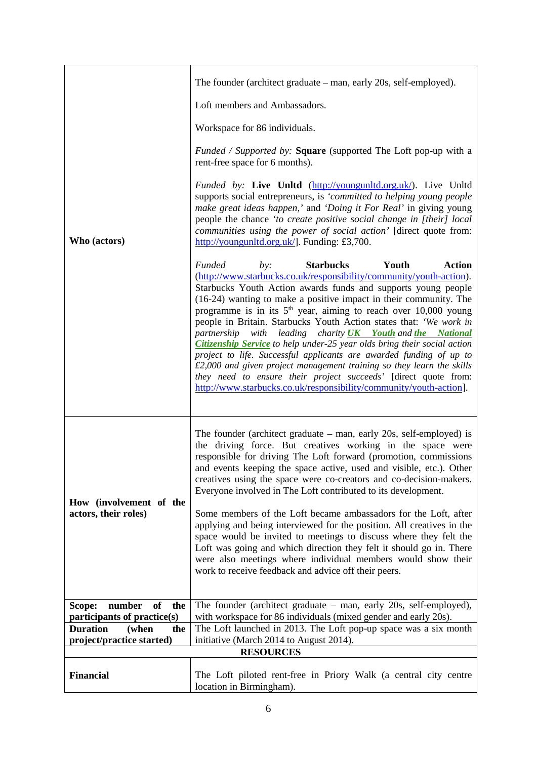|                                                              | The founder (architect graduate – man, early 20s, self-employed).                                                                                                                                                                                                                                                                                                                                                                                                                                                                                                                                                                                                                                                                                                                                                                                                             |  |
|--------------------------------------------------------------|-------------------------------------------------------------------------------------------------------------------------------------------------------------------------------------------------------------------------------------------------------------------------------------------------------------------------------------------------------------------------------------------------------------------------------------------------------------------------------------------------------------------------------------------------------------------------------------------------------------------------------------------------------------------------------------------------------------------------------------------------------------------------------------------------------------------------------------------------------------------------------|--|
|                                                              | Loft members and Ambassadors.                                                                                                                                                                                                                                                                                                                                                                                                                                                                                                                                                                                                                                                                                                                                                                                                                                                 |  |
|                                                              | Workspace for 86 individuals.                                                                                                                                                                                                                                                                                                                                                                                                                                                                                                                                                                                                                                                                                                                                                                                                                                                 |  |
| Who (actors)                                                 | <i>Funded / Supported by:</i> Square (supported The Loft pop-up with a<br>rent-free space for 6 months).                                                                                                                                                                                                                                                                                                                                                                                                                                                                                                                                                                                                                                                                                                                                                                      |  |
|                                                              | <i>Funded by:</i> Live Unltd (http://youngunltd.org.uk/). Live Unltd<br>supports social entrepreneurs, is 'committed to helping young people<br>make great ideas happen,' and 'Doing it For Real' in giving young<br>people the chance 'to create positive social change in [their] local<br>communities using the power of social action' [direct quote from:<br>http://youngunltd.org.uk/]. Funding: £3,700.                                                                                                                                                                                                                                                                                                                                                                                                                                                                |  |
|                                                              | <b>Funded</b><br><b>Starbucks</b><br>Youth<br><b>Action</b><br>by:<br>(http://www.starbucks.co.uk/responsibility/community/youth-action).<br>Starbucks Youth Action awards funds and supports young people<br>(16-24) wanting to make a positive impact in their community. The<br>programme is in its $5th$ year, aiming to reach over 10,000 young<br>people in Britain. Starbucks Youth Action states that: 'We work in<br>partnership with leading charity <b>UK</b> Youth and the National<br><b>Citizenship Service</b> to help under-25 year olds bring their social action<br>project to life. Successful applicants are awarded funding of up to<br>$£2,000$ and given project management training so they learn the skills<br>they need to ensure their project succeeds' [direct quote from:<br>http://www.starbucks.co.uk/responsibility/community/youth-action]. |  |
| How (involvement of the<br>actors, their roles)              | The founder (architect graduate $-$ man, early 20s, self-employed) is<br>the driving force. But creatives working in the space were<br>responsible for driving The Loft forward (promotion, commissions<br>and events keeping the space active, used and visible, etc.). Other<br>creatives using the space were co-creators and co-decision-makers.<br>Everyone involved in The Loft contributed to its development.<br>Some members of the Loft became ambassadors for the Loft, after<br>applying and being interviewed for the position. All creatives in the<br>space would be invited to meetings to discuss where they felt the<br>Loft was going and which direction they felt it should go in. There<br>were also meetings where individual members would show their<br>work to receive feedback and advice off their peers.                                         |  |
| number<br>of<br>the<br>Scope:<br>participants of practice(s) | The founder (architect graduate - man, early 20s, self-employed),<br>with workspace for 86 individuals (mixed gender and early 20s).                                                                                                                                                                                                                                                                                                                                                                                                                                                                                                                                                                                                                                                                                                                                          |  |
| <b>Duration</b><br>(when<br>the                              | The Loft launched in 2013. The Loft pop-up space was a six month                                                                                                                                                                                                                                                                                                                                                                                                                                                                                                                                                                                                                                                                                                                                                                                                              |  |
| project/practice started)                                    | initiative (March 2014 to August 2014).                                                                                                                                                                                                                                                                                                                                                                                                                                                                                                                                                                                                                                                                                                                                                                                                                                       |  |
| <b>RESOURCES</b>                                             |                                                                                                                                                                                                                                                                                                                                                                                                                                                                                                                                                                                                                                                                                                                                                                                                                                                                               |  |
| <b>Financial</b>                                             | The Loft piloted rent-free in Priory Walk (a central city centre<br>location in Birmingham).                                                                                                                                                                                                                                                                                                                                                                                                                                                                                                                                                                                                                                                                                                                                                                                  |  |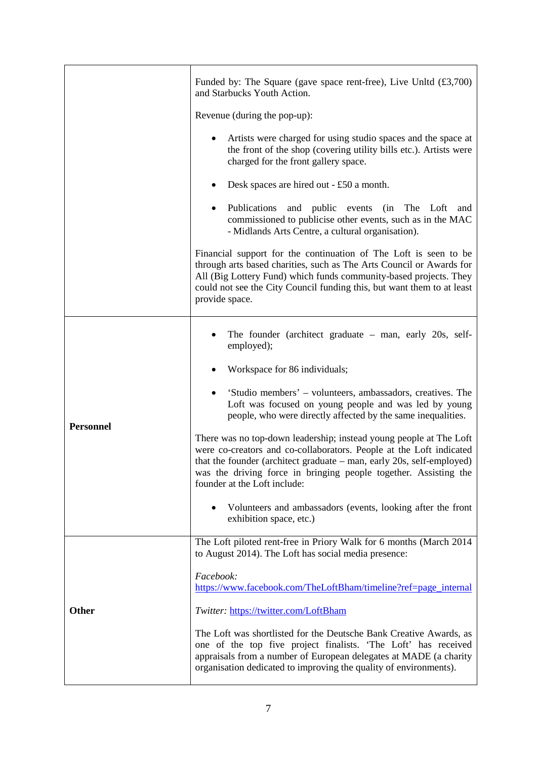|                  | Funded by: The Square (gave space rent-free), Live Unltd $(\text{\textsterling}3,700)$<br>and Starbucks Youth Action.                                                                                                                                                                                                  |
|------------------|------------------------------------------------------------------------------------------------------------------------------------------------------------------------------------------------------------------------------------------------------------------------------------------------------------------------|
|                  | Revenue (during the pop-up):                                                                                                                                                                                                                                                                                           |
|                  | Artists were charged for using studio spaces and the space at<br>the front of the shop (covering utility bills etc.). Artists were<br>charged for the front gallery space.                                                                                                                                             |
|                  | Desk spaces are hired out - £50 a month.                                                                                                                                                                                                                                                                               |
|                  | Publications and public events (in<br>The Loft<br>$\bullet$<br>and<br>commissioned to publicise other events, such as in the MAC<br>- Midlands Arts Centre, a cultural organisation).                                                                                                                                  |
|                  | Financial support for the continuation of The Loft is seen to be<br>through arts based charities, such as The Arts Council or Awards for<br>All (Big Lottery Fund) which funds community-based projects. They<br>could not see the City Council funding this, but want them to at least<br>provide space.              |
|                  | The founder (architect graduate $-$ man, early 20s, self-<br>employed);                                                                                                                                                                                                                                                |
|                  | Workspace for 86 individuals;                                                                                                                                                                                                                                                                                          |
| <b>Personnel</b> | 'Studio members' – volunteers, ambassadors, creatives. The<br>Loft was focused on young people and was led by young<br>people, who were directly affected by the same inequalities.                                                                                                                                    |
|                  | There was no top-down leadership; instead young people at The Loft<br>were co-creators and co-collaborators. People at the Loft indicated<br>that the founder (architect graduate – man, early 20s, self-employed)<br>was the driving force in bringing people together. Assisting the<br>founder at the Loft include: |
|                  | Volunteers and ambassadors (events, looking after the front<br>exhibition space, etc.)                                                                                                                                                                                                                                 |
| <b>Other</b>     | The Loft piloted rent-free in Priory Walk for 6 months (March 2014<br>to August 2014). The Loft has social media presence:                                                                                                                                                                                             |
|                  | Facebook:<br>https://www.facebook.com/TheLoftBham/timeline?ref=page_internal                                                                                                                                                                                                                                           |
|                  | Twitter: https://twitter.com/LoftBham                                                                                                                                                                                                                                                                                  |
|                  | The Loft was shortlisted for the Deutsche Bank Creative Awards, as<br>one of the top five project finalists. 'The Loft' has received<br>appraisals from a number of European delegates at MADE (a charity<br>organisation dedicated to improving the quality of environments).                                         |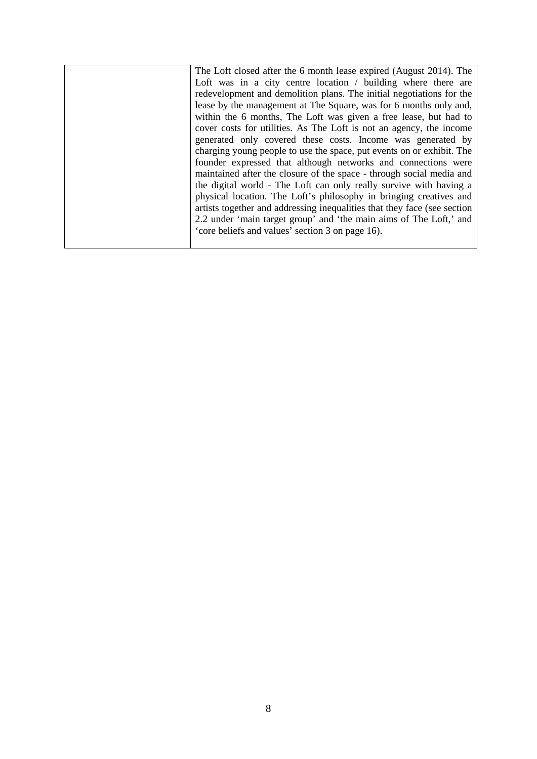| The Loft closed after the 6 month lease expired (August 2014). The       |
|--------------------------------------------------------------------------|
| Loft was in a city centre location / building where there are            |
| redevelopment and demolition plans. The initial negotiations for the     |
| lease by the management at The Square, was for 6 months only and,        |
| within the 6 months, The Loft was given a free lease, but had to         |
| cover costs for utilities. As The Loft is not an agency, the income      |
| generated only covered these costs. Income was generated by              |
| charging young people to use the space, put events on or exhibit. The    |
| founder expressed that although networks and connections were            |
| maintained after the closure of the space - through social media and     |
| the digital world - The Loft can only really survive with having a       |
| physical location. The Loft's philosophy in bringing creatives and       |
| artists together and addressing inequalities that they face (see section |
| 2.2 under 'main target group' and 'the main aims of The Loft,' and       |
| 'core beliefs and values' section 3 on page 16).                         |
|                                                                          |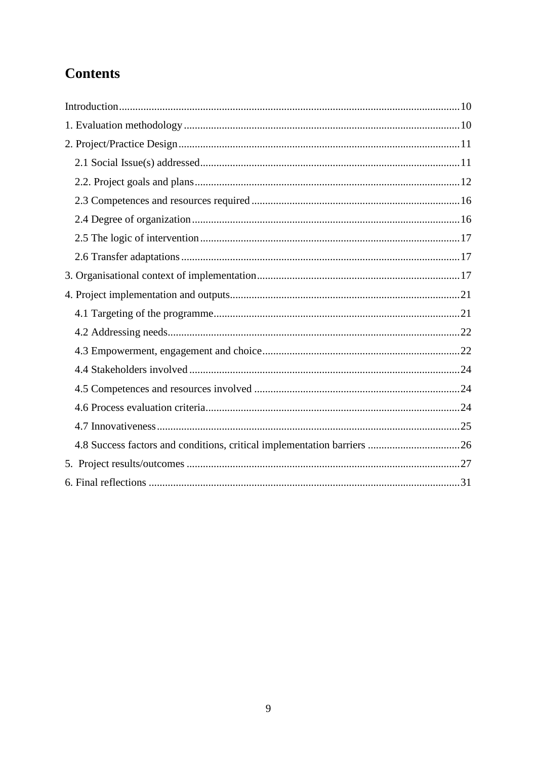# **Contents**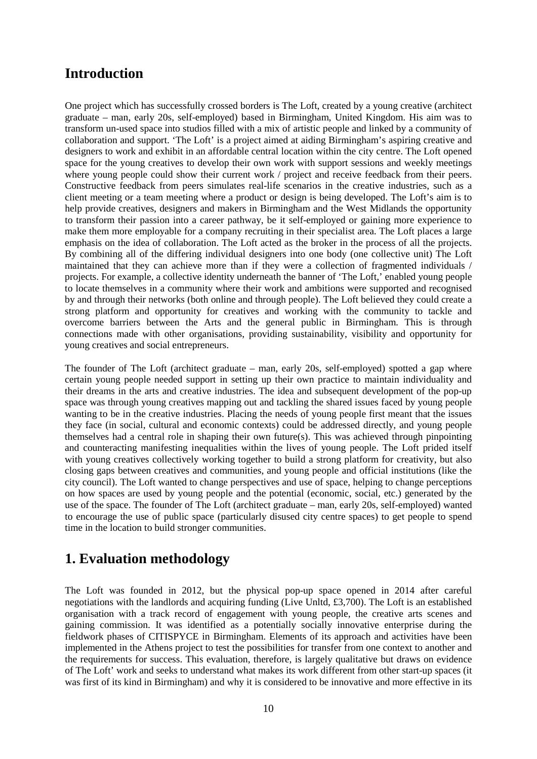## <span id="page-9-0"></span>**Introduction**

One project which has successfully crossed borders is The Loft, created by a young creative (architect graduate – man, early 20s, self-employed) based in Birmingham, United Kingdom. His aim was to transform un-used space into studios filled with a mix of artistic people and linked by a community of collaboration and support. 'The Loft' is a project aimed at aiding Birmingham's aspiring creative and designers to work and exhibit in an affordable central location within the city centre. The Loft opened space for the young creatives to develop their own work with support sessions and weekly meetings where young people could show their current work / project and receive feedback from their peers. Constructive feedback from peers simulates real-life scenarios in the creative industries, such as a client meeting or a team meeting where a product or design is being developed. The Loft's aim is to help provide creatives, designers and makers in Birmingham and the West Midlands the opportunity to transform their passion into a career pathway, be it self-employed or gaining more experience to make them more employable for a company recruiting in their specialist area. The Loft places a large emphasis on the idea of collaboration. The Loft acted as the broker in the process of all the projects. By combining all of the differing individual designers into one body (one collective unit) The Loft maintained that they can achieve more than if they were a collection of fragmented individuals / projects. For example, a collective identity underneath the banner of 'The Loft,' enabled young people to locate themselves in a community where their work and ambitions were supported and recognised by and through their networks (both online and through people). The Loft believed they could create a strong platform and opportunity for creatives and working with the community to tackle and overcome barriers between the Arts and the general public in Birmingham. This is through connections made with other organisations, providing sustainability, visibility and opportunity for young creatives and social entrepreneurs.

The founder of The Loft (architect graduate – man, early 20s, self-employed) spotted a gap where certain young people needed support in setting up their own practice to maintain individuality and their dreams in the arts and creative industries. The idea and subsequent development of the pop-up space was through young creatives mapping out and tackling the shared issues faced by young people wanting to be in the creative industries. Placing the needs of young people first meant that the issues they face (in social, cultural and economic contexts) could be addressed directly, and young people themselves had a central role in shaping their own future(s). This was achieved through pinpointing and counteracting manifesting inequalities within the lives of young people. The Loft prided itself with young creatives collectively working together to build a strong platform for creativity, but also closing gaps between creatives and communities, and young people and official institutions (like the city council). The Loft wanted to change perspectives and use of space, helping to change perceptions on how spaces are used by young people and the potential (economic, social, etc.) generated by the use of the space. The founder of The Loft (architect graduate – man, early 20s, self-employed) wanted to encourage the use of public space (particularly disused city centre spaces) to get people to spend time in the location to build stronger communities.

## <span id="page-9-1"></span>**1. Evaluation methodology**

The Loft was founded in 2012, but the physical pop-up space opened in 2014 after careful negotiations with the landlords and acquiring funding (Live Unltd, £3,700). The Loft is an established organisation with a track record of engagement with young people, the creative arts scenes and gaining commission. It was identified as a potentially socially innovative enterprise during the fieldwork phases of CITISPYCE in Birmingham. Elements of its approach and activities have been implemented in the Athens project to test the possibilities for transfer from one context to another and the requirements for success. This evaluation, therefore, is largely qualitative but draws on evidence of The Loft' work and seeks to understand what makes its work different from other start-up spaces (it was first of its kind in Birmingham) and why it is considered to be innovative and more effective in its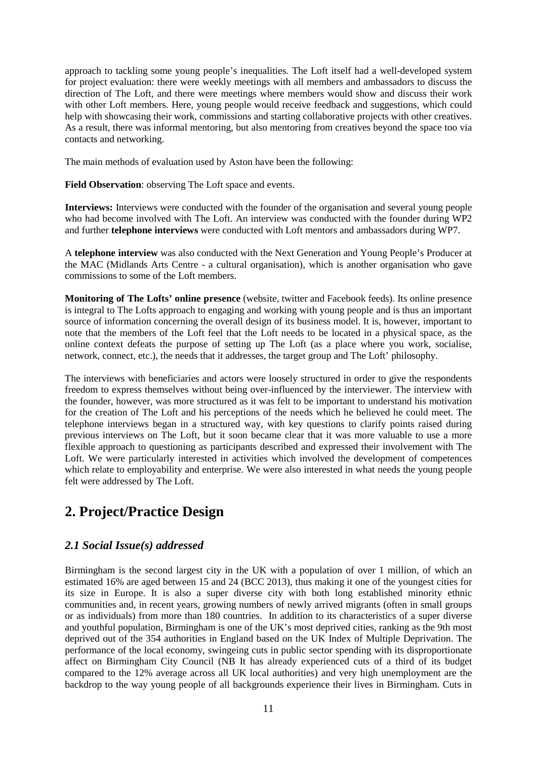approach to tackling some young people's inequalities. The Loft itself had a well-developed system for project evaluation: there were weekly meetings with all members and ambassadors to discuss the direction of The Loft, and there were meetings where members would show and discuss their work with other Loft members. Here, young people would receive feedback and suggestions, which could help with showcasing their work, commissions and starting collaborative projects with other creatives. As a result, there was informal mentoring, but also mentoring from creatives beyond the space too via contacts and networking.

The main methods of evaluation used by Aston have been the following:

**Field Observation**: observing The Loft space and events.

**Interviews:** Interviews were conducted with the founder of the organisation and several young people who had become involved with The Loft. An interview was conducted with the founder during WP2 and further **telephone interviews** were conducted with Loft mentors and ambassadors during WP7.

A **telephone interview** was also conducted with the Next Generation and Young People's Producer at the MAC (Midlands Arts Centre - a cultural organisation), which is another organisation who gave commissions to some of the Loft members.

**Monitoring of The Lofts' online presence** (website, twitter and Facebook feeds). Its online presence is integral to The Lofts approach to engaging and working with young people and is thus an important source of information concerning the overall design of its business model. It is, however, important to note that the members of the Loft feel that the Loft needs to be located in a physical space, as the online context defeats the purpose of setting up The Loft (as a place where you work, socialise, network, connect, etc.), the needs that it addresses, the target group and The Loft' philosophy.

The interviews with beneficiaries and actors were loosely structured in order to give the respondents freedom to express themselves without being over-influenced by the interviewer. The interview with the founder, however, was more structured as it was felt to be important to understand his motivation for the creation of The Loft and his perceptions of the needs which he believed he could meet. The telephone interviews began in a structured way, with key questions to clarify points raised during previous interviews on The Loft, but it soon became clear that it was more valuable to use a more flexible approach to questioning as participants described and expressed their involvement with The Loft. We were particularly interested in activities which involved the development of competences which relate to employability and enterprise. We were also interested in what needs the young people felt were addressed by The Loft.

## <span id="page-10-0"></span>**2. Project/Practice Design**

## <span id="page-10-1"></span>*2.1 Social Issue(s) addressed*

Birmingham is the second largest city in the UK with a population of over 1 million, of which an estimated 16% are aged between 15 and 24 (BCC 2013), thus making it one of the youngest cities for its size in Europe. It is also a super diverse city with both long established minority ethnic communities and, in recent years, growing numbers of newly arrived migrants (often in small groups or as individuals) from more than 180 countries. In addition to its characteristics of a super diverse and youthful population, Birmingham is one of the UK's most deprived cities, ranking as the 9th most deprived out of the 354 authorities in England based on the UK Index of Multiple Deprivation. The performance of the local economy, swingeing cuts in public sector spending with its disproportionate affect on Birmingham City Council (NB It has already experienced cuts of a third of its budget compared to the 12% average across all UK local authorities) and very high unemployment are the backdrop to the way young people of all backgrounds experience their lives in Birmingham. Cuts in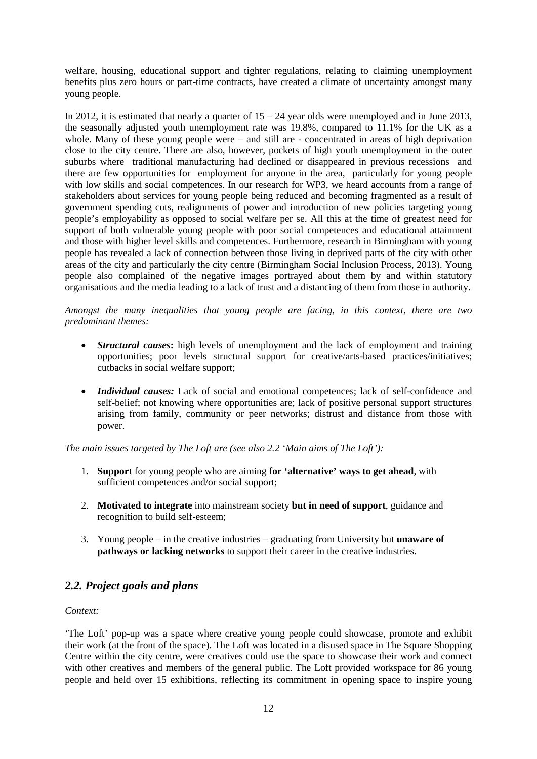welfare, housing, educational support and tighter regulations, relating to claiming unemployment benefits plus zero hours or part-time contracts, have created a climate of uncertainty amongst many young people.

In 2012, it is estimated that nearly a quarter of  $15 - 24$  year olds were unemployed and in June 2013, the seasonally adjusted youth unemployment rate was 19.8%, compared to 11.1% for the UK as a whole. Many of these young people were – and still are - concentrated in areas of high deprivation close to the city centre. There are also, however, pockets of high youth unemployment in the outer suburbs where traditional manufacturing had declined or disappeared in previous recessions and there are few opportunities for employment for anyone in the area, particularly for young people with low skills and social competences. In our research for WP3, we heard accounts from a range of stakeholders about services for young people being reduced and becoming fragmented as a result of government spending cuts, realignments of power and introduction of new policies targeting young people's employability as opposed to social welfare per se. All this at the time of greatest need for support of both vulnerable young people with poor social competences and educational attainment and those with higher level skills and competences. Furthermore, research in Birmingham with young people has revealed a lack of connection between those living in deprived parts of the city with other areas of the city and particularly the city centre (Birmingham Social Inclusion Process, 2013). Young people also complained of the negative images portrayed about them by and within statutory organisations and the media leading to a lack of trust and a distancing of them from those in authority.

*Amongst the many inequalities that young people are facing, in this context, there are two predominant themes:*

- *Structural causes***:** high levels of unemployment and the lack of employment and training opportunities; poor levels structural support for creative/arts-based practices/initiatives; cutbacks in social welfare support;
- *Individual causes:* Lack of social and emotional competences; lack of self-confidence and self-belief; not knowing where opportunities are; lack of positive personal support structures arising from family, community or peer networks; distrust and distance from those with power.

*The main issues targeted by The Loft are (see also 2.2 'Main aims of The Loft'):* 

- 1. **Support** for young people who are aiming **for 'alternative' ways to get ahead**, with sufficient competences and/or social support;
- 2. **Motivated to integrate** into mainstream society **but in need of support**, guidance and recognition to build self-esteem;
- 3. Young people in the creative industries graduating from University but **unaware of pathways or lacking networks** to support their career in the creative industries.

## <span id="page-11-0"></span>*2.2. Project goals and plans*

#### *Context:*

'The Loft' pop-up was a space where creative young people could showcase, promote and exhibit their work (at the front of the space). The Loft was located in a disused space in The Square Shopping Centre within the city centre, were creatives could use the space to showcase their work and connect with other creatives and members of the general public. The Loft provided workspace for 86 young people and held over 15 exhibitions, reflecting its commitment in opening space to inspire young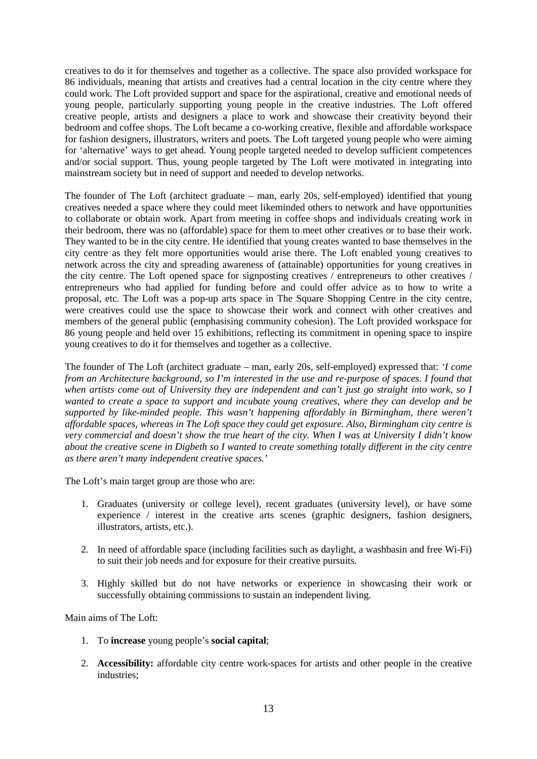creatives to do it for themselves and together as a collective. The space also provided workspace for 86 individuals, meaning that artists and creatives had a central location in the city centre where they could work. The Loft provided support and space for the aspirational, creative and emotional needs of young people, particularly supporting young people in the creative industries. The Loft offered creative people, artists and designers a place to work and showcase their creativity beyond their bedroom and coffee shops. The Loft became a co-working creative, flexible and affordable workspace for fashion designers, illustrators, writers and poets. The Loft targeted young people who were aiming for 'alternative' ways to get ahead. Young people targeted needed to develop sufficient competences and/or social support. Thus, young people targeted by The Loft were motivated in integrating into mainstream society but in need of support and needed to develop networks.

The founder of The Loft (architect graduate – man, early 20s, self-employed) identified that young creatives needed a space where they could meet likeminded others to network and have opportunities to collaborate or obtain work. Apart from meeting in coffee shops and individuals creating work in their bedroom, there was no (affordable) space for them to meet other creatives or to base their work. They wanted to be in the city centre. He identified that young creates wanted to base themselves in the city centre as they felt more opportunities would arise there. The Loft enabled young creatives to network across the city and spreading awareness of (attainable) opportunities for young creatives in the city centre. The Loft opened space for signposting creatives / entrepreneurs to other creatives / entrepreneurs who had applied for funding before and could offer advice as to how to write a proposal, etc. The Loft was a pop-up arts space in The Square Shopping Centre in the city centre, were creatives could use the space to showcase their work and connect with other creatives and members of the general public (emphasising community cohesion). The Loft provided workspace for 86 young people and held over 15 exhibitions, reflecting its commitment in opening space to inspire young creatives to do it for themselves and together as a collective.

The founder of The Loft (architect graduate – man, early 20s, self-employed) expressed that: *'I come from an Architecture background, so I'm interested in the use and re-purpose of spaces. I found that when artists come out of University they are independent and can't just go straight into work, so I wanted to create a space to support and incubate young creatives, where they can develop and be supported by like-minded people. This wasn't happening affordably in Birmingham, there weren't affordable spaces, whereas in The Loft space they could get exposure. Also, Birmingham city centre is very commercial and doesn't show the true heart of the city. When I was at University I didn't know about the creative scene in Digbeth so I wanted to create something totally different in the city centre as there aren't many independent creative spaces.'*

The Loft's main target group are those who are:

- 1. Graduates (university or college level), recent graduates (university level), or have some experience / interest in the creative arts scenes (graphic designers, fashion designers, illustrators, artists, etc.).
- 2. In need of affordable space (including facilities such as daylight, a washbasin and free Wi-Fi) to suit their job needs and for exposure for their creative pursuits.
- 3. Highly skilled but do not have networks or experience in showcasing their work or successfully obtaining commissions to sustain an independent living.

Main aims of The Loft:

- 1. To **increase** young people's **social capital**;
- 2. **Accessibility:** affordable city centre work-spaces for artists and other people in the creative industries;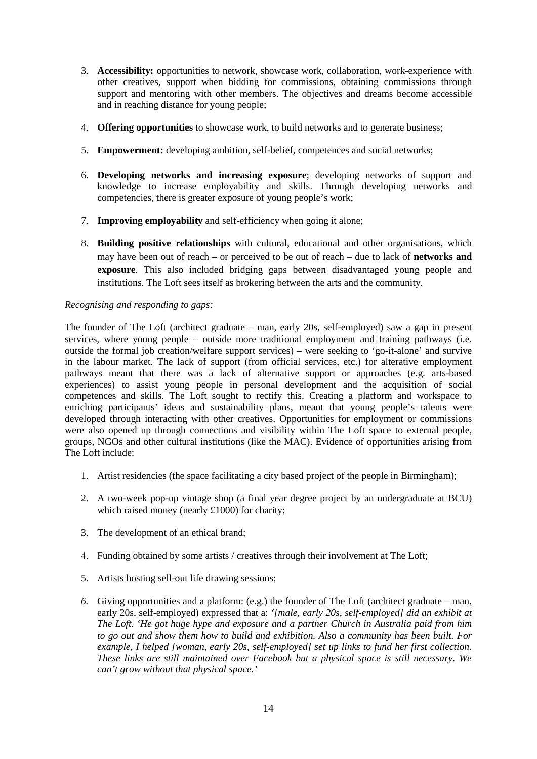- 3. **Accessibility:** opportunities to network, showcase work, collaboration, work-experience with other creatives, support when bidding for commissions, obtaining commissions through support and mentoring with other members. The objectives and dreams become accessible and in reaching distance for young people;
- 4. **Offering opportunities** to showcase work, to build networks and to generate business;
- 5. **Empowerment:** developing ambition, self-belief, competences and social networks;
- 6. **Developing networks and increasing exposure**; developing networks of support and knowledge to increase employability and skills. Through developing networks and competencies, there is greater exposure of young people's work;
- 7. **Improving employability** and self-efficiency when going it alone;
- 8. **Building positive relationships** with cultural, educational and other organisations, which may have been out of reach – or perceived to be out of reach – due to lack of **networks and exposure**. This also included bridging gaps between disadvantaged young people and institutions. The Loft sees itself as brokering between the arts and the community.

#### *Recognising and responding to gaps:*

The founder of The Loft (architect graduate – man, early 20s, self-employed) saw a gap in present services, where young people – outside more traditional employment and training pathways (i.e. outside the formal job creation/welfare support services) – were seeking to 'go-it-alone' and survive in the labour market. The lack of support (from official services, etc.) for alterative employment pathways meant that there was a lack of alternative support or approaches (e.g. arts-based experiences) to assist young people in personal development and the acquisition of social competences and skills. The Loft sought to rectify this. Creating a platform and workspace to enriching participants' ideas and sustainability plans, meant that young people's talents were developed through interacting with other creatives. Opportunities for employment or commissions were also opened up through connections and visibility within The Loft space to external people, groups, NGOs and other cultural institutions (like the MAC). Evidence of opportunities arising from The Loft include:

- 1. Artist residencies (the space facilitating a city based project of the people in Birmingham);
- 2. A two-week pop-up vintage shop (a final year degree project by an undergraduate at BCU) which raised money (nearly £1000) for charity;
- 3. The development of an ethical brand;
- 4. Funding obtained by some artists / creatives through their involvement at The Loft;
- 5. Artists hosting sell-out life drawing sessions;
- *6.* Giving opportunities and a platform: (e.g.) the founder of The Loft (architect graduate man, early 20s, self-employed) expressed that a: *'[male, early 20s, self-employed] did an exhibit at The Loft. 'He got huge hype and exposure and a partner Church in Australia paid from him to go out and show them how to build and exhibition. Also a community has been built. For example, I helped [woman, early 20s, self-employed] set up links to fund her first collection. These links are still maintained over Facebook but a physical space is still necessary. We can't grow without that physical space.'*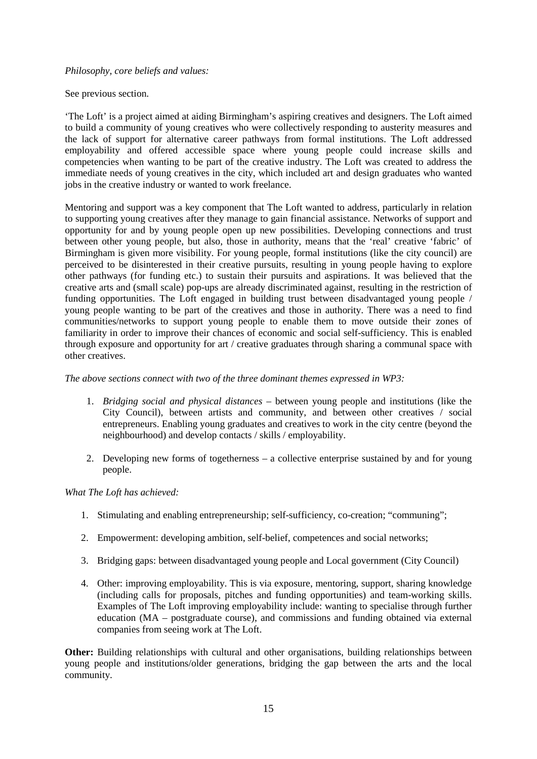#### *Philosophy, core beliefs and values:*

#### See previous section.

'The Loft' is a project aimed at aiding Birmingham's aspiring creatives and designers. The Loft aimed to build a community of young creatives who were collectively responding to austerity measures and the lack of support for alternative career pathways from formal institutions. The Loft addressed employability and offered accessible space where young people could increase skills and competencies when wanting to be part of the creative industry. The Loft was created to address the immediate needs of young creatives in the city, which included art and design graduates who wanted jobs in the creative industry or wanted to work freelance.

Mentoring and support was a key component that The Loft wanted to address, particularly in relation to supporting young creatives after they manage to gain financial assistance. Networks of support and opportunity for and by young people open up new possibilities. Developing connections and trust between other young people, but also, those in authority, means that the 'real' creative 'fabric' of Birmingham is given more visibility. For young people, formal institutions (like the city council) are perceived to be disinterested in their creative pursuits, resulting in young people having to explore other pathways (for funding etc.) to sustain their pursuits and aspirations. It was believed that the creative arts and (small scale) pop-ups are already discriminated against, resulting in the restriction of funding opportunities. The Loft engaged in building trust between disadvantaged young people / young people wanting to be part of the creatives and those in authority. There was a need to find communities/networks to support young people to enable them to move outside their zones of familiarity in order to improve their chances of economic and social self-sufficiency. This is enabled through exposure and opportunity for art / creative graduates through sharing a communal space with other creatives.

#### *The above sections connect with two of the three dominant themes expressed in WP3:*

- 1. *Bridging social and physical distances* between young people and institutions (like the City Council), between artists and community, and between other creatives / social entrepreneurs. Enabling young graduates and creatives to work in the city centre (beyond the neighbourhood) and develop contacts / skills / employability.
- 2. Developing new forms of togetherness a collective enterprise sustained by and for young people.

#### *What The Loft has achieved:*

- 1. Stimulating and enabling entrepreneurship; self-sufficiency, co-creation; "communing";
- 2. Empowerment: developing ambition, self-belief, competences and social networks;
- 3. Bridging gaps: between disadvantaged young people and Local government (City Council)
- 4. Other: improving employability. This is via exposure, mentoring, support, sharing knowledge (including calls for proposals, pitches and funding opportunities) and team-working skills. Examples of The Loft improving employability include: wanting to specialise through further education (MA – postgraduate course), and commissions and funding obtained via external companies from seeing work at The Loft.

**Other:** Building relationships with cultural and other organisations, building relationships between young people and institutions/older generations, bridging the gap between the arts and the local community.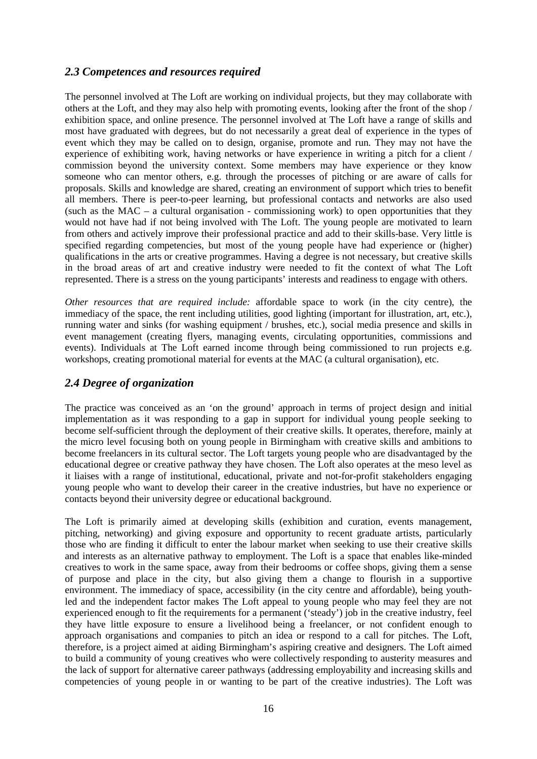## <span id="page-15-0"></span>*2.3 Competences and resources required*

The personnel involved at The Loft are working on individual projects, but they may collaborate with others at the Loft, and they may also help with promoting events, looking after the front of the shop / exhibition space, and online presence. The personnel involved at The Loft have a range of skills and most have graduated with degrees, but do not necessarily a great deal of experience in the types of event which they may be called on to design, organise, promote and run. They may not have the experience of exhibiting work, having networks or have experience in writing a pitch for a client / commission beyond the university context. Some members may have experience or they know someone who can mentor others, e.g. through the processes of pitching or are aware of calls for proposals. Skills and knowledge are shared, creating an environment of support which tries to benefit all members. There is peer-to-peer learning, but professional contacts and networks are also used (such as the MAC – a cultural organisation - commissioning work) to open opportunities that they would not have had if not being involved with The Loft. The young people are motivated to learn from others and actively improve their professional practice and add to their skills-base. Very little is specified regarding competencies, but most of the young people have had experience or (higher) qualifications in the arts or creative programmes. Having a degree is not necessary, but creative skills in the broad areas of art and creative industry were needed to fit the context of what The Loft represented. There is a stress on the young participants' interests and readiness to engage with others.

*Other resources that are required include:* affordable space to work (in the city centre), the immediacy of the space, the rent including utilities, good lighting (important for illustration, art, etc.), running water and sinks (for washing equipment / brushes, etc.), social media presence and skills in event management (creating flyers, managing events, circulating opportunities, commissions and events). Individuals at The Loft earned income through being commissioned to run projects e.g. workshops, creating promotional material for events at the MAC (a cultural organisation), etc.

### <span id="page-15-1"></span>*2.4 Degree of organization*

The practice was conceived as an 'on the ground' approach in terms of project design and initial implementation as it was responding to a gap in support for individual young people seeking to become self-sufficient through the deployment of their creative skills. It operates, therefore, mainly at the micro level focusing both on young people in Birmingham with creative skills and ambitions to become freelancers in its cultural sector. The Loft targets young people who are disadvantaged by the educational degree or creative pathway they have chosen. The Loft also operates at the meso level as it liaises with a range of institutional, educational, private and not-for-profit stakeholders engaging young people who want to develop their career in the creative industries, but have no experience or contacts beyond their university degree or educational background.

The Loft is primarily aimed at developing skills (exhibition and curation, events management, pitching, networking) and giving exposure and opportunity to recent graduate artists, particularly those who are finding it difficult to enter the labour market when seeking to use their creative skills and interests as an alternative pathway to employment. The Loft is a space that enables like-minded creatives to work in the same space, away from their bedrooms or coffee shops, giving them a sense of purpose and place in the city, but also giving them a change to flourish in a supportive environment. The immediacy of space, accessibility (in the city centre and affordable), being youthled and the independent factor makes The Loft appeal to young people who may feel they are not experienced enough to fit the requirements for a permanent ('steady') job in the creative industry, feel they have little exposure to ensure a livelihood being a freelancer, or not confident enough to approach organisations and companies to pitch an idea or respond to a call for pitches. The Loft, therefore, is a project aimed at aiding Birmingham's aspiring creative and designers. The Loft aimed to build a community of young creatives who were collectively responding to austerity measures and the lack of support for alternative career pathways (addressing employability and increasing skills and competencies of young people in or wanting to be part of the creative industries). The Loft was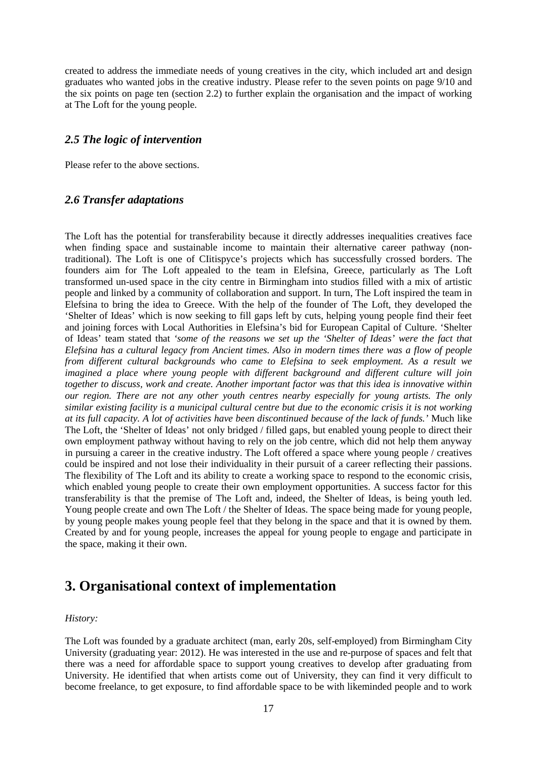created to address the immediate needs of young creatives in the city, which included art and design graduates who wanted jobs in the creative industry. Please refer to the seven points on page 9/10 and the six points on page ten (section 2.2) to further explain the organisation and the impact of working at The Loft for the young people.

### <span id="page-16-0"></span>*2.5 The logic of intervention*

Please refer to the above sections.

### <span id="page-16-1"></span>*2.6 Transfer adaptations*

The Loft has the potential for transferability because it directly addresses inequalities creatives face when finding space and sustainable income to maintain their alternative career pathway (nontraditional). The Loft is one of CIitispyce's projects which has successfully crossed borders. The founders aim for The Loft appealed to the team in Elefsina, Greece, particularly as The Loft transformed un-used space in the city centre in Birmingham into studios filled with a mix of artistic people and linked by a community of collaboration and support. In turn, The Loft inspired the team in Elefsina to bring the idea to Greece. With the help of the founder of The Loft, they developed the 'Shelter of Ideas' which is now seeking to fill gaps left by cuts, helping young people find their feet and joining forces with Local Authorities in Elefsina's bid for European Capital of Culture. 'Shelter of Ideas' team stated that *'some of the reasons we set up the 'Shelter of Ideas' were the fact that Elefsina has a cultural legacy from Ancient times. Also in modern times there was a flow of people from different cultural backgrounds who came to Elefsina to seek employment. As a result we imagined a place where young people with different background and different culture will join together to discuss, work and create. Another important factor was that this idea is innovative within our region. There are not any other youth centres nearby especially for young artists. The only similar existing facility is a municipal cultural centre but due to the economic crisis it is not working at its full capacity. A lot of activities have been discontinued because of the lack of funds.'* Much like The Loft, the 'Shelter of Ideas' not only bridged / filled gaps, but enabled young people to direct their own employment pathway without having to rely on the job centre, which did not help them anyway in pursuing a career in the creative industry. The Loft offered a space where young people / creatives could be inspired and not lose their individuality in their pursuit of a career reflecting their passions. The flexibility of The Loft and its ability to create a working space to respond to the economic crisis, which enabled young people to create their own employment opportunities. A success factor for this transferability is that the premise of The Loft and, indeed, the Shelter of Ideas, is being youth led. Young people create and own The Loft / the Shelter of Ideas. The space being made for young people, by young people makes young people feel that they belong in the space and that it is owned by them. Created by and for young people, increases the appeal for young people to engage and participate in the space, making it their own.

## <span id="page-16-2"></span>**3. Organisational context of implementation**

#### *History:*

The Loft was founded by a graduate architect (man, early 20s, self-employed) from Birmingham City University (graduating year: 2012). He was interested in the use and re-purpose of spaces and felt that there was a need for affordable space to support young creatives to develop after graduating from University. He identified that when artists come out of University, they can find it very difficult to become freelance, to get exposure, to find affordable space to be with likeminded people and to work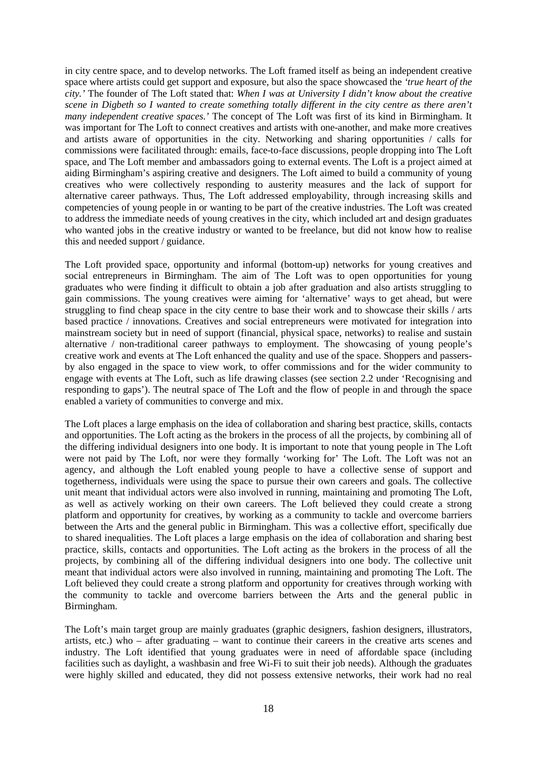in city centre space, and to develop networks. The Loft framed itself as being an independent creative space where artists could get support and exposure, but also the space showcased the *'true heart of the city.'* The founder of The Loft stated that: *When I was at University I didn't know about the creative scene in Digbeth so I wanted to create something totally different in the city centre as there aren't many independent creative spaces.'* The concept of The Loft was first of its kind in Birmingham. It was important for The Loft to connect creatives and artists with one-another, and make more creatives and artists aware of opportunities in the city. Networking and sharing opportunities / calls for commissions were facilitated through: emails, face-to-face discussions, people dropping into The Loft space, and The Loft member and ambassadors going to external events. The Loft is a project aimed at aiding Birmingham's aspiring creative and designers. The Loft aimed to build a community of young creatives who were collectively responding to austerity measures and the lack of support for alternative career pathways. Thus, The Loft addressed employability, through increasing skills and competencies of young people in or wanting to be part of the creative industries. The Loft was created to address the immediate needs of young creatives in the city, which included art and design graduates who wanted jobs in the creative industry or wanted to be freelance, but did not know how to realise this and needed support / guidance.

The Loft provided space, opportunity and informal (bottom-up) networks for young creatives and social entrepreneurs in Birmingham. The aim of The Loft was to open opportunities for young graduates who were finding it difficult to obtain a job after graduation and also artists struggling to gain commissions. The young creatives were aiming for 'alternative' ways to get ahead, but were struggling to find cheap space in the city centre to base their work and to showcase their skills / arts based practice / innovations. Creatives and social entrepreneurs were motivated for integration into mainstream society but in need of support (financial, physical space, networks) to realise and sustain alternative / non-traditional career pathways to employment. The showcasing of young people's creative work and events at The Loft enhanced the quality and use of the space. Shoppers and passersby also engaged in the space to view work, to offer commissions and for the wider community to engage with events at The Loft, such as life drawing classes (see section 2.2 under 'Recognising and responding to gaps'). The neutral space of The Loft and the flow of people in and through the space enabled a variety of communities to converge and mix.

The Loft places a large emphasis on the idea of collaboration and sharing best practice, skills, contacts and opportunities. The Loft acting as the brokers in the process of all the projects, by combining all of the differing individual designers into one body. It is important to note that young people in The Loft were not paid by The Loft, nor were they formally 'working for' The Loft. The Loft was not an agency, and although the Loft enabled young people to have a collective sense of support and togetherness, individuals were using the space to pursue their own careers and goals. The collective unit meant that individual actors were also involved in running, maintaining and promoting The Loft, as well as actively working on their own careers. The Loft believed they could create a strong platform and opportunity for creatives, by working as a community to tackle and overcome barriers between the Arts and the general public in Birmingham. This was a collective effort, specifically due to shared inequalities. The Loft places a large emphasis on the idea of collaboration and sharing best practice, skills, contacts and opportunities. The Loft acting as the brokers in the process of all the projects, by combining all of the differing individual designers into one body. The collective unit meant that individual actors were also involved in running, maintaining and promoting The Loft. The Loft believed they could create a strong platform and opportunity for creatives through working with the community to tackle and overcome barriers between the Arts and the general public in Birmingham.

The Loft's main target group are mainly graduates (graphic designers, fashion designers, illustrators, artists, etc.) who – after graduating – want to continue their careers in the creative arts scenes and industry. The Loft identified that young graduates were in need of affordable space (including facilities such as daylight, a washbasin and free Wi-Fi to suit their job needs). Although the graduates were highly skilled and educated, they did not possess extensive networks, their work had no real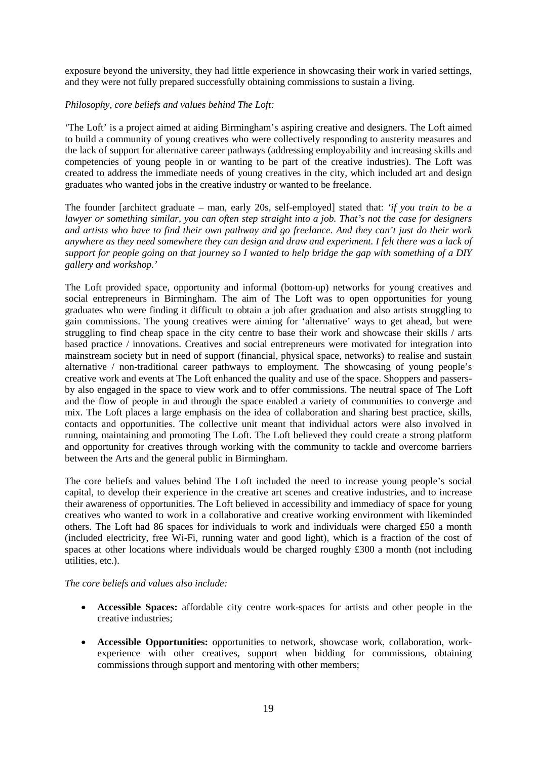exposure beyond the university, they had little experience in showcasing their work in varied settings, and they were not fully prepared successfully obtaining commissions to sustain a living.

#### *Philosophy, core beliefs and values behind The Loft:*

'The Loft' is a project aimed at aiding Birmingham's aspiring creative and designers. The Loft aimed to build a community of young creatives who were collectively responding to austerity measures and the lack of support for alternative career pathways (addressing employability and increasing skills and competencies of young people in or wanting to be part of the creative industries). The Loft was created to address the immediate needs of young creatives in the city, which included art and design graduates who wanted jobs in the creative industry or wanted to be freelance.

The founder [architect graduate – man, early 20s, self-employed] stated that: *'if you train to be a lawyer or something similar, you can often step straight into a job. That's not the case for designers and artists who have to find their own pathway and go freelance. And they can't just do their work anywhere as they need somewhere they can design and draw and experiment. I felt there was a lack of support for people going on that journey so I wanted to help bridge the gap with something of a DIY gallery and workshop.'*

The Loft provided space, opportunity and informal (bottom-up) networks for young creatives and social entrepreneurs in Birmingham. The aim of The Loft was to open opportunities for young graduates who were finding it difficult to obtain a job after graduation and also artists struggling to gain commissions. The young creatives were aiming for 'alternative' ways to get ahead, but were struggling to find cheap space in the city centre to base their work and showcase their skills / arts based practice / innovations. Creatives and social entrepreneurs were motivated for integration into mainstream society but in need of support (financial, physical space, networks) to realise and sustain alternative / non-traditional career pathways to employment. The showcasing of young people's creative work and events at The Loft enhanced the quality and use of the space. Shoppers and passersby also engaged in the space to view work and to offer commissions. The neutral space of The Loft and the flow of people in and through the space enabled a variety of communities to converge and mix. The Loft places a large emphasis on the idea of collaboration and sharing best practice, skills, contacts and opportunities. The collective unit meant that individual actors were also involved in running, maintaining and promoting The Loft. The Loft believed they could create a strong platform and opportunity for creatives through working with the community to tackle and overcome barriers between the Arts and the general public in Birmingham.

The core beliefs and values behind The Loft included the need to increase young people's social capital, to develop their experience in the creative art scenes and creative industries, and to increase their awareness of opportunities. The Loft believed in accessibility and immediacy of space for young creatives who wanted to work in a collaborative and creative working environment with likeminded others. The Loft had 86 spaces for individuals to work and individuals were charged £50 a month (included electricity, free Wi-Fi, running water and good light), which is a fraction of the cost of spaces at other locations where individuals would be charged roughly £300 a month (not including utilities, etc.).

#### *The core beliefs and values also include:*

- **Accessible Spaces:** affordable city centre work-spaces for artists and other people in the creative industries;
- **Accessible Opportunities:** opportunities to network, showcase work, collaboration, workexperience with other creatives, support when bidding for commissions, obtaining commissions through support and mentoring with other members;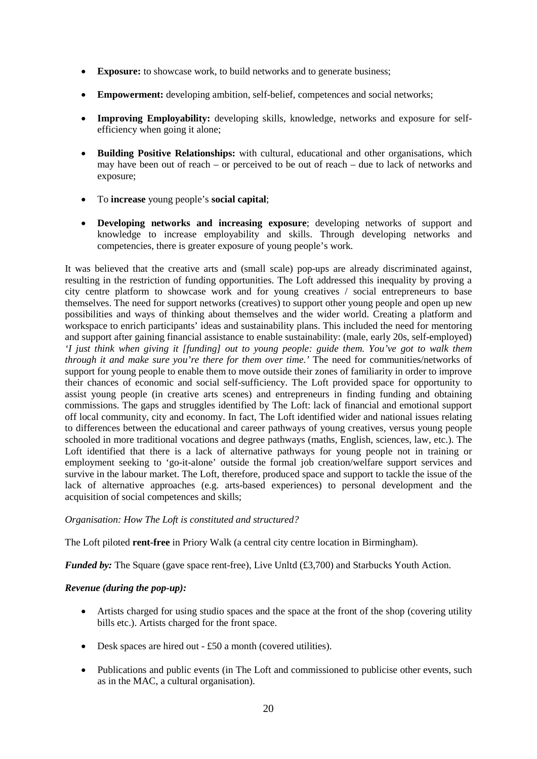- **Exposure:** to showcase work, to build networks and to generate business:
- **Empowerment:** developing ambition, self-belief, competences and social networks;
- **Improving Employability:** developing skills, knowledge, networks and exposure for selfefficiency when going it alone;
- **Building Positive Relationships:** with cultural, educational and other organisations, which may have been out of reach – or perceived to be out of reach – due to lack of networks and exposure;
- To **increase** young people's **social capital**;
- **Developing networks and increasing exposure**; developing networks of support and knowledge to increase employability and skills. Through developing networks and competencies, there is greater exposure of young people's work.

It was believed that the creative arts and (small scale) pop-ups are already discriminated against, resulting in the restriction of funding opportunities. The Loft addressed this inequality by proving a city centre platform to showcase work and for young creatives / social entrepreneurs to base themselves. The need for support networks (creatives) to support other young people and open up new possibilities and ways of thinking about themselves and the wider world. Creating a platform and workspace to enrich participants' ideas and sustainability plans. This included the need for mentoring and support after gaining financial assistance to enable sustainability: (male, early 20s, self-employed) *'I just think when giving it [funding] out to young people: guide them. You've got to walk them through it and make sure you're there for them over time.'* The need for communities/networks of support for young people to enable them to move outside their zones of familiarity in order to improve their chances of economic and social self-sufficiency. The Loft provided space for opportunity to assist young people (in creative arts scenes) and entrepreneurs in finding funding and obtaining commissions. The gaps and struggles identified by The Loft: lack of financial and emotional support off local community, city and economy. In fact, The Loft identified wider and national issues relating to differences between the educational and career pathways of young creatives, versus young people schooled in more traditional vocations and degree pathways (maths, English, sciences, law, etc.). The Loft identified that there is a lack of alternative pathways for young people not in training or employment seeking to 'go-it-alone' outside the formal job creation/welfare support services and survive in the labour market. The Loft, therefore, produced space and support to tackle the issue of the lack of alternative approaches (e.g. arts-based experiences) to personal development and the acquisition of social competences and skills;

#### *Organisation: How The Loft is constituted and structured?*

The Loft piloted **rent-free** in Priory Walk (a central city centre location in Birmingham).

*Funded by:* The Square (gave space rent-free), Live Unltd (£3,700) and Starbucks Youth Action.

#### *Revenue (during the pop-up):*

- Artists charged for using studio spaces and the space at the front of the shop (covering utility bills etc.). Artists charged for the front space.
- Desk spaces are hired out £50 a month (covered utilities).
- Publications and public events (in The Loft and commissioned to publicise other events, such as in the MAC, a cultural organisation).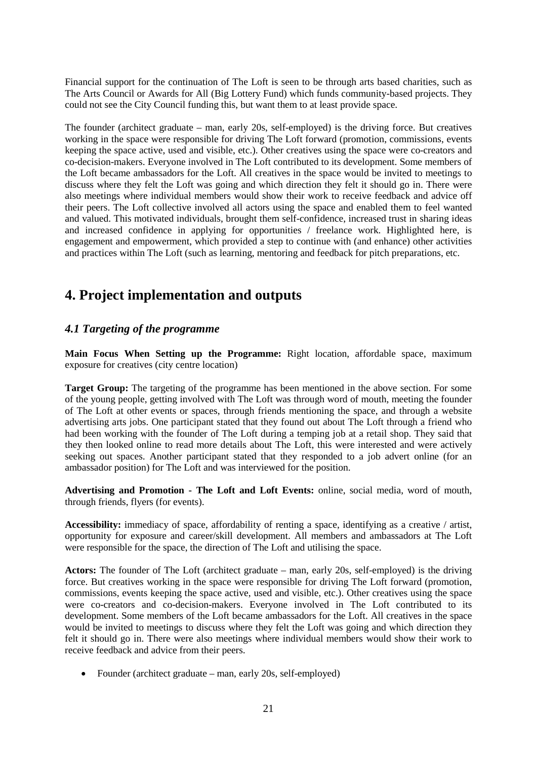Financial support for the continuation of The Loft is seen to be through arts based charities, such as The Arts Council or Awards for All (Big Lottery Fund) which funds community-based projects. They could not see the City Council funding this, but want them to at least provide space.

The founder (architect graduate – man, early 20s, self-employed) is the driving force. But creatives working in the space were responsible for driving The Loft forward (promotion, commissions, events keeping the space active, used and visible, etc.). Other creatives using the space were co-creators and co-decision-makers. Everyone involved in The Loft contributed to its development. Some members of the Loft became ambassadors for the Loft. All creatives in the space would be invited to meetings to discuss where they felt the Loft was going and which direction they felt it should go in. There were also meetings where individual members would show their work to receive feedback and advice off their peers. The Loft collective involved all actors using the space and enabled them to feel wanted and valued. This motivated individuals, brought them self-confidence, increased trust in sharing ideas and increased confidence in applying for opportunities / freelance work. Highlighted here, is engagement and empowerment, which provided a step to continue with (and enhance) other activities and practices within The Loft (such as learning, mentoring and feedback for pitch preparations, etc.

## <span id="page-20-0"></span>**4. Project implementation and outputs**

## <span id="page-20-1"></span>*4.1 Targeting of the programme*

**Main Focus When Setting up the Programme:** Right location, affordable space, maximum exposure for creatives (city centre location)

**Target Group:** The targeting of the programme has been mentioned in the above section. For some of the young people, getting involved with The Loft was through word of mouth, meeting the founder of The Loft at other events or spaces, through friends mentioning the space, and through a website advertising arts jobs. One participant stated that they found out about The Loft through a friend who had been working with the founder of The Loft during a temping job at a retail shop. They said that they then looked online to read more details about The Loft, this were interested and were actively seeking out spaces. Another participant stated that they responded to a job advert online (for an ambassador position) for The Loft and was interviewed for the position.

**Advertising and Promotion - The Loft and Loft Events:** online, social media, word of mouth, through friends, flyers (for events).

**Accessibility:** immediacy of space, affordability of renting a space, identifying as a creative / artist, opportunity for exposure and career/skill development. All members and ambassadors at The Loft were responsible for the space, the direction of The Loft and utilising the space.

**Actors:** The founder of The Loft (architect graduate – man, early 20s, self-employed) is the driving force. But creatives working in the space were responsible for driving The Loft forward (promotion, commissions, events keeping the space active, used and visible, etc.). Other creatives using the space were co-creators and co-decision-makers. Everyone involved in The Loft contributed to its development. Some members of the Loft became ambassadors for the Loft. All creatives in the space would be invited to meetings to discuss where they felt the Loft was going and which direction they felt it should go in. There were also meetings where individual members would show their work to receive feedback and advice from their peers.

• Founder (architect graduate – man, early 20s, self-employed)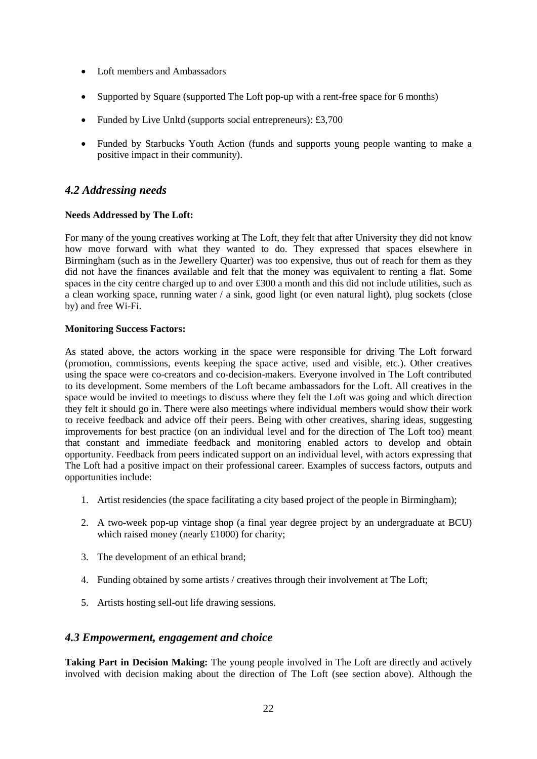- Loft members and Ambassadors
- Supported by Square (supported The Loft pop-up with a rent-free space for 6 months)
- Funded by Live Unltd (supports social entrepreneurs): £3,700
- Funded by Starbucks Youth Action (funds and supports young people wanting to make a positive impact in their community).

### <span id="page-21-0"></span>*4.2 Addressing needs*

#### **Needs Addressed by The Loft:**

For many of the young creatives working at The Loft, they felt that after University they did not know how move forward with what they wanted to do. They expressed that spaces elsewhere in Birmingham (such as in the Jewellery Quarter) was too expensive, thus out of reach for them as they did not have the finances available and felt that the money was equivalent to renting a flat. Some spaces in the city centre charged up to and over £300 a month and this did not include utilities, such as a clean working space, running water / a sink, good light (or even natural light), plug sockets (close by) and free Wi-Fi.

#### **Monitoring Success Factors:**

As stated above, the actors working in the space were responsible for driving The Loft forward (promotion, commissions, events keeping the space active, used and visible, etc.). Other creatives using the space were co-creators and co-decision-makers. Everyone involved in The Loft contributed to its development. Some members of the Loft became ambassadors for the Loft. All creatives in the space would be invited to meetings to discuss where they felt the Loft was going and which direction they felt it should go in. There were also meetings where individual members would show their work to receive feedback and advice off their peers. Being with other creatives, sharing ideas, suggesting improvements for best practice (on an individual level and for the direction of The Loft too) meant that constant and immediate feedback and monitoring enabled actors to develop and obtain opportunity. Feedback from peers indicated support on an individual level, with actors expressing that The Loft had a positive impact on their professional career. Examples of success factors, outputs and opportunities include:

- 1. Artist residencies (the space facilitating a city based project of the people in Birmingham);
- 2. A two-week pop-up vintage shop (a final year degree project by an undergraduate at BCU) which raised money (nearly £1000) for charity;
- 3. The development of an ethical brand;
- 4. Funding obtained by some artists / creatives through their involvement at The Loft;
- 5. Artists hosting sell-out life drawing sessions.

#### <span id="page-21-1"></span>*4.3 Empowerment, engagement and choice*

**Taking Part in Decision Making:** The young people involved in The Loft are directly and actively involved with decision making about the direction of The Loft (see section above). Although the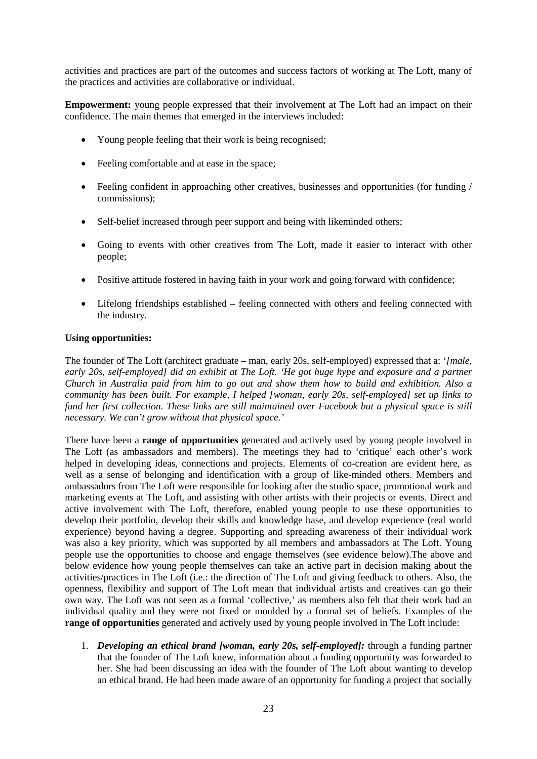activities and practices are part of the outcomes and success factors of working at The Loft, many of the practices and activities are collaborative or individual.

**Empowerment:** young people expressed that their involvement at The Loft had an impact on their confidence. The main themes that emerged in the interviews included:

- Young people feeling that their work is being recognised:
- Feeling comfortable and at ease in the space:
- Feeling confident in approaching other creatives, businesses and opportunities (for funding / commissions);
- Self-belief increased through peer support and being with likeminded others;
- Going to events with other creatives from The Loft, made it easier to interact with other people;
- Positive attitude fostered in having faith in your work and going forward with confidence;
- Lifelong friendships established feeling connected with others and feeling connected with the industry.

#### **Using opportunities:**

The founder of The Loft (architect graduate – man, early 20s, self-employed) expressed that a: '*[male, early 20s, self-employed] did an exhibit at The Loft. 'He got huge hype and exposure and a partner Church in Australia paid from him to go out and show them how to build and exhibition. Also a community has been built. For example, I helped [woman, early 20s, self-employed] set up links to fund her first collection. These links are still maintained over Facebook but a physical space is still necessary. We can't grow without that physical space.'*

There have been a **range of opportunities** generated and actively used by young people involved in The Loft (as ambassadors and members). The meetings they had to 'critique' each other's work helped in developing ideas, connections and projects. Elements of co-creation are evident here, as well as a sense of belonging and identification with a group of like-minded others. Members and ambassadors from The Loft were responsible for looking after the studio space, promotional work and marketing events at The Loft, and assisting with other artists with their projects or events. Direct and active involvement with The Loft, therefore, enabled young people to use these opportunities to develop their portfolio, develop their skills and knowledge base, and develop experience (real world experience) beyond having a degree. Supporting and spreading awareness of their individual work was also a key priority, which was supported by all members and ambassadors at The Loft. Young people use the opportunities to choose and engage themselves (see evidence below).The above and below evidence how young people themselves can take an active part in decision making about the activities/practices in The Loft (i.e.: the direction of The Loft and giving feedback to others. Also, the openness, flexibility and support of The Loft mean that individual artists and creatives can go their own way. The Loft was not seen as a formal 'collective,' as members also felt that their work had an individual quality and they were not fixed or moulded by a formal set of beliefs. Examples of the **range of opportunities** generated and actively used by young people involved in The Loft include:

1. *Developing an ethical brand [woman, early 20s, self-employed]:* through a funding partner that the founder of The Loft knew, information about a funding opportunity was forwarded to her. She had been discussing an idea with the founder of The Loft about wanting to develop an ethical brand. He had been made aware of an opportunity for funding a project that socially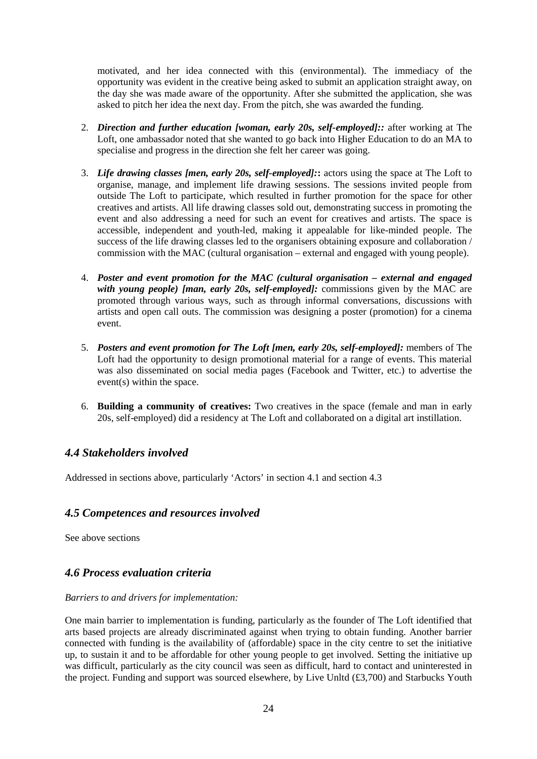motivated, and her idea connected with this (environmental). The immediacy of the opportunity was evident in the creative being asked to submit an application straight away, on the day she was made aware of the opportunity. After she submitted the application, she was asked to pitch her idea the next day. From the pitch, she was awarded the funding.

- 2. *Direction and further education [woman, early 20s, self-employed]::* after working at The Loft, one ambassador noted that she wanted to go back into Higher Education to do an MA to specialise and progress in the direction she felt her career was going.
- 3. *Life drawing classes [men, early 20s, self-employed]:***:** actors using the space at The Loft to organise, manage, and implement life drawing sessions. The sessions invited people from outside The Loft to participate, which resulted in further promotion for the space for other creatives and artists. All life drawing classes sold out, demonstrating success in promoting the event and also addressing a need for such an event for creatives and artists. The space is accessible, independent and youth-led, making it appealable for like-minded people. The success of the life drawing classes led to the organisers obtaining exposure and collaboration / commission with the MAC (cultural organisation – external and engaged with young people).
- 4. *Poster and event promotion for the MAC (cultural organisation – external and engaged with young people) [man, early 20s, self-employed]:* commissions given by the MAC are promoted through various ways, such as through informal conversations, discussions with artists and open call outs. The commission was designing a poster (promotion) for a cinema event.
- 5. *Posters and event promotion for The Loft [men, early 20s, self-employed]:* members of The Loft had the opportunity to design promotional material for a range of events. This material was also disseminated on social media pages (Facebook and Twitter, etc.) to advertise the event(s) within the space.
- 6. **Building a community of creatives:** Two creatives in the space (female and man in early 20s, self-employed) did a residency at The Loft and collaborated on a digital art instillation.

## <span id="page-23-0"></span>*4.4 Stakeholders involved*

Addressed in sections above, particularly 'Actors' in section 4.1 and section 4.3

## <span id="page-23-1"></span>*4.5 Competences and resources involved*

See above sections

## <span id="page-23-2"></span>*4.6 Process evaluation criteria*

#### *Barriers to and drivers for implementation:*

One main barrier to implementation is funding, particularly as the founder of The Loft identified that arts based projects are already discriminated against when trying to obtain funding. Another barrier connected with funding is the availability of (affordable) space in the city centre to set the initiative up, to sustain it and to be affordable for other young people to get involved. Setting the initiative up was difficult, particularly as the city council was seen as difficult, hard to contact and uninterested in the project. Funding and support was sourced elsewhere, by Live Unltd (£3,700) and Starbucks Youth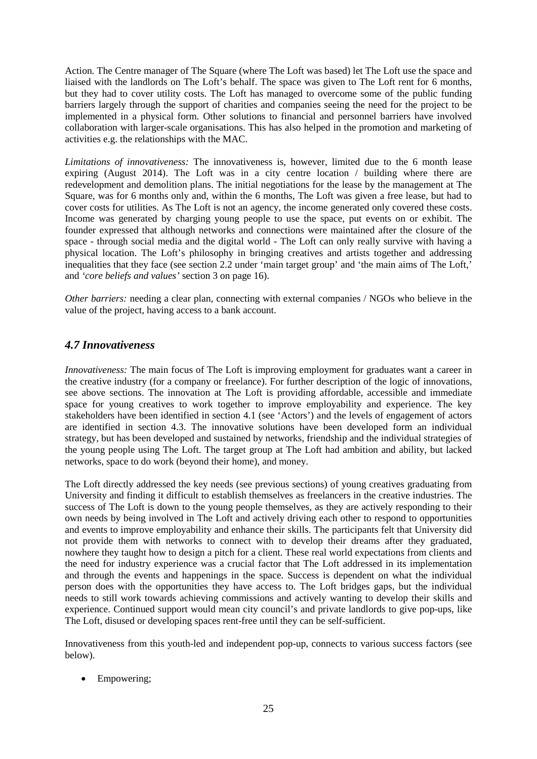Action. The Centre manager of The Square (where The Loft was based) let The Loft use the space and liaised with the landlords on The Loft's behalf. The space was given to The Loft rent for 6 months, but they had to cover utility costs. The Loft has managed to overcome some of the public funding barriers largely through the support of charities and companies seeing the need for the project to be implemented in a physical form. Other solutions to financial and personnel barriers have involved collaboration with larger-scale organisations. This has also helped in the promotion and marketing of activities e.g. the relationships with the MAC.

*Limitations of innovativeness:* The innovativeness is, however, limited due to the 6 month lease expiring (August 2014). The Loft was in a city centre location / building where there are redevelopment and demolition plans. The initial negotiations for the lease by the management at The Square, was for 6 months only and, within the 6 months, The Loft was given a free lease, but had to cover costs for utilities. As The Loft is not an agency, the income generated only covered these costs. Income was generated by charging young people to use the space, put events on or exhibit. The founder expressed that although networks and connections were maintained after the closure of the space - through social media and the digital world - The Loft can only really survive with having a physical location. The Loft's philosophy in bringing creatives and artists together and addressing inequalities that they face (see section 2.2 under 'main target group' and 'the main aims of The Loft,' and *'core beliefs and values'* section 3 on page 16).

*Other barriers:* needing a clear plan, connecting with external companies / NGOs who believe in the value of the project, having access to a bank account.

## <span id="page-24-0"></span>*4.7 Innovativeness*

*Innovativeness:* The main focus of The Loft is improving employment for graduates want a career in the creative industry (for a company or freelance). For further description of the logic of innovations, see above sections. The innovation at The Loft is providing affordable, accessible and immediate space for young creatives to work together to improve employability and experience. The key stakeholders have been identified in section 4.1 (see 'Actors') and the levels of engagement of actors are identified in section 4.3. The innovative solutions have been developed form an individual strategy, but has been developed and sustained by networks, friendship and the individual strategies of the young people using The Loft. The target group at The Loft had ambition and ability, but lacked networks, space to do work (beyond their home), and money.

The Loft directly addressed the key needs (see previous sections) of young creatives graduating from University and finding it difficult to establish themselves as freelancers in the creative industries. The success of The Loft is down to the young people themselves, as they are actively responding to their own needs by being involved in The Loft and actively driving each other to respond to opportunities and events to improve employability and enhance their skills. The participants felt that University did not provide them with networks to connect with to develop their dreams after they graduated, nowhere they taught how to design a pitch for a client. These real world expectations from clients and the need for industry experience was a crucial factor that The Loft addressed in its implementation and through the events and happenings in the space. Success is dependent on what the individual person does with the opportunities they have access to. The Loft bridges gaps, but the individual needs to still work towards achieving commissions and actively wanting to develop their skills and experience. Continued support would mean city council's and private landlords to give pop-ups, like The Loft, disused or developing spaces rent-free until they can be self-sufficient.

Innovativeness from this youth-led and independent pop-up, connects to various success factors (see below).

• Empowering: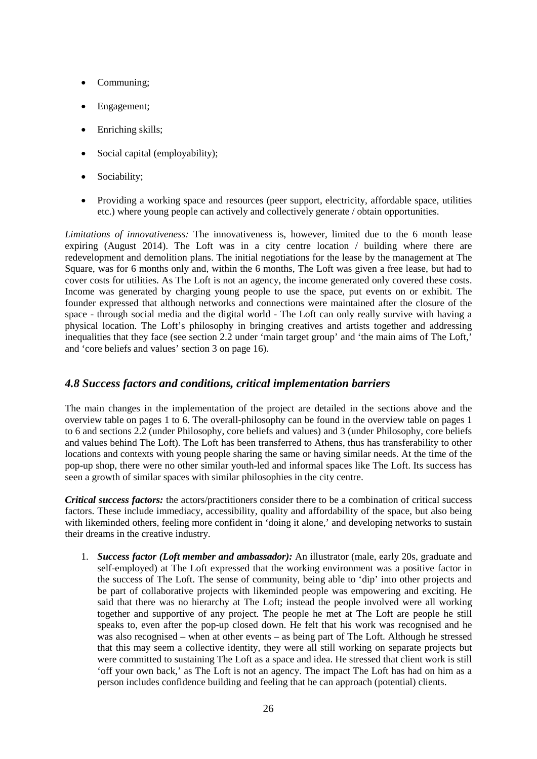- Communing;
- Engagement;
- Enriching skills;
- Social capital (employability);
- Sociability;
- Providing a working space and resources (peer support, electricity, affordable space, utilities etc.) where young people can actively and collectively generate / obtain opportunities.

*Limitations of innovativeness:* The innovativeness is, however, limited due to the 6 month lease expiring (August 2014). The Loft was in a city centre location / building where there are redevelopment and demolition plans. The initial negotiations for the lease by the management at The Square, was for 6 months only and, within the 6 months, The Loft was given a free lease, but had to cover costs for utilities. As The Loft is not an agency, the income generated only covered these costs. Income was generated by charging young people to use the space, put events on or exhibit. The founder expressed that although networks and connections were maintained after the closure of the space - through social media and the digital world - The Loft can only really survive with having a physical location. The Loft's philosophy in bringing creatives and artists together and addressing inequalities that they face (see section 2.2 under 'main target group' and 'the main aims of The Loft,' and 'core beliefs and values' section 3 on page 16).

## <span id="page-25-0"></span>*4.8 Success factors and conditions, critical implementation barriers*

The main changes in the implementation of the project are detailed in the sections above and the overview table on pages 1 to 6. The overall-philosophy can be found in the overview table on pages 1 to 6 and sections 2.2 (under Philosophy, core beliefs and values) and 3 (under Philosophy, core beliefs and values behind The Loft). The Loft has been transferred to Athens, thus has transferability to other locations and contexts with young people sharing the same or having similar needs. At the time of the pop-up shop, there were no other similar youth-led and informal spaces like The Loft. Its success has seen a growth of similar spaces with similar philosophies in the city centre.

*Critical success factors:* the actors/practitioners consider there to be a combination of critical success factors. These include immediacy, accessibility, quality and affordability of the space, but also being with likeminded others, feeling more confident in 'doing it alone,' and developing networks to sustain their dreams in the creative industry.

1. *Success factor (Loft member and ambassador):* An illustrator (male, early 20s, graduate and self-employed) at The Loft expressed that the working environment was a positive factor in the success of The Loft. The sense of community, being able to 'dip' into other projects and be part of collaborative projects with likeminded people was empowering and exciting. He said that there was no hierarchy at The Loft; instead the people involved were all working together and supportive of any project. The people he met at The Loft are people he still speaks to, even after the pop-up closed down. He felt that his work was recognised and he was also recognised – when at other events – as being part of The Loft. Although he stressed that this may seem a collective identity, they were all still working on separate projects but were committed to sustaining The Loft as a space and idea. He stressed that client work is still 'off your own back,' as The Loft is not an agency. The impact The Loft has had on him as a person includes confidence building and feeling that he can approach (potential) clients.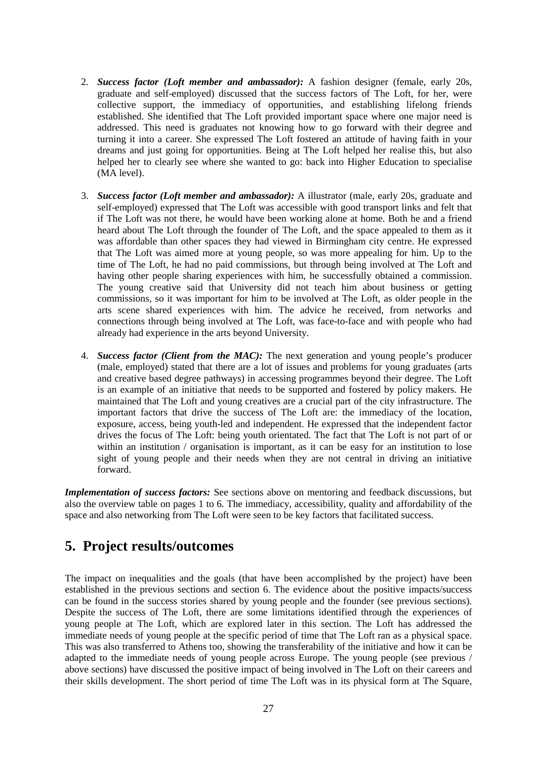- 2. *Success factor (Loft member and ambassador):* A fashion designer (female, early 20s, graduate and self-employed) discussed that the success factors of The Loft, for her, were collective support, the immediacy of opportunities, and establishing lifelong friends established. She identified that The Loft provided important space where one major need is addressed. This need is graduates not knowing how to go forward with their degree and turning it into a career. She expressed The Loft fostered an attitude of having faith in your dreams and just going for opportunities. Being at The Loft helped her realise this, but also helped her to clearly see where she wanted to go: back into Higher Education to specialise (MA level).
- 3. *Success factor (Loft member and ambassador):* A illustrator (male, early 20s, graduate and self-employed) expressed that The Loft was accessible with good transport links and felt that if The Loft was not there, he would have been working alone at home. Both he and a friend heard about The Loft through the founder of The Loft, and the space appealed to them as it was affordable than other spaces they had viewed in Birmingham city centre. He expressed that The Loft was aimed more at young people, so was more appealing for him. Up to the time of The Loft, he had no paid commissions, but through being involved at The Loft and having other people sharing experiences with him, he successfully obtained a commission. The young creative said that University did not teach him about business or getting commissions, so it was important for him to be involved at The Loft, as older people in the arts scene shared experiences with him. The advice he received, from networks and connections through being involved at The Loft, was face-to-face and with people who had already had experience in the arts beyond University.
- 4. *Success factor (Client from the MAC):* The next generation and young people's producer (male, employed) stated that there are a lot of issues and problems for young graduates (arts and creative based degree pathways) in accessing programmes beyond their degree. The Loft is an example of an initiative that needs to be supported and fostered by policy makers. He maintained that The Loft and young creatives are a crucial part of the city infrastructure. The important factors that drive the success of The Loft are: the immediacy of the location, exposure, access, being youth-led and independent. He expressed that the independent factor drives the focus of The Loft: being youth orientated. The fact that The Loft is not part of or within an institution / organisation is important, as it can be easy for an institution to lose sight of young people and their needs when they are not central in driving an initiative forward.

*Implementation of success factors:* See sections above on mentoring and feedback discussions, but also the overview table on pages 1 to 6. The immediacy, accessibility, quality and affordability of the space and also networking from The Loft were seen to be key factors that facilitated success.

## <span id="page-26-0"></span>**5. Project results/outcomes**

The impact on inequalities and the goals (that have been accomplished by the project) have been established in the previous sections and section 6. The evidence about the positive impacts/success can be found in the success stories shared by young people and the founder (see previous sections). Despite the success of The Loft, there are some limitations identified through the experiences of young people at The Loft, which are explored later in this section. The Loft has addressed the immediate needs of young people at the specific period of time that The Loft ran as a physical space. This was also transferred to Athens too, showing the transferability of the initiative and how it can be adapted to the immediate needs of young people across Europe. The young people (see previous / above sections) have discussed the positive impact of being involved in The Loft on their careers and their skills development. The short period of time The Loft was in its physical form at The Square,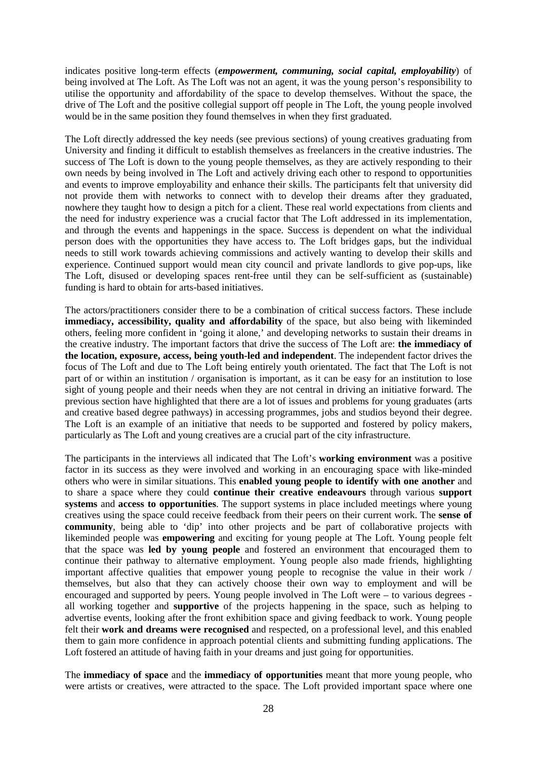indicates positive long-term effects (*empowerment, communing, social capital, employability*) of being involved at The Loft. As The Loft was not an agent, it was the young person's responsibility to utilise the opportunity and affordability of the space to develop themselves. Without the space, the drive of The Loft and the positive collegial support off people in The Loft, the young people involved would be in the same position they found themselves in when they first graduated.

The Loft directly addressed the key needs (see previous sections) of young creatives graduating from University and finding it difficult to establish themselves as freelancers in the creative industries. The success of The Loft is down to the young people themselves, as they are actively responding to their own needs by being involved in The Loft and actively driving each other to respond to opportunities and events to improve employability and enhance their skills. The participants felt that university did not provide them with networks to connect with to develop their dreams after they graduated, nowhere they taught how to design a pitch for a client. These real world expectations from clients and the need for industry experience was a crucial factor that The Loft addressed in its implementation, and through the events and happenings in the space. Success is dependent on what the individual person does with the opportunities they have access to. The Loft bridges gaps, but the individual needs to still work towards achieving commissions and actively wanting to develop their skills and experience. Continued support would mean city council and private landlords to give pop-ups, like The Loft, disused or developing spaces rent-free until they can be self-sufficient as (sustainable) funding is hard to obtain for arts-based initiatives.

The actors/practitioners consider there to be a combination of critical success factors. These include **immediacy, accessibility, quality and affordability** of the space, but also being with likeminded others, feeling more confident in 'going it alone,' and developing networks to sustain their dreams in the creative industry. The important factors that drive the success of The Loft are: **the immediacy of the location, exposure, access, being youth-led and independent**. The independent factor drives the focus of The Loft and due to The Loft being entirely youth orientated. The fact that The Loft is not part of or within an institution / organisation is important, as it can be easy for an institution to lose sight of young people and their needs when they are not central in driving an initiative forward. The previous section have highlighted that there are a lot of issues and problems for young graduates (arts and creative based degree pathways) in accessing programmes, jobs and studios beyond their degree. The Loft is an example of an initiative that needs to be supported and fostered by policy makers, particularly as The Loft and young creatives are a crucial part of the city infrastructure.

The participants in the interviews all indicated that The Loft's **working environment** was a positive factor in its success as they were involved and working in an encouraging space with like-minded others who were in similar situations. This **enabled young people to identify with one another** and to share a space where they could **continue their creative endeavours** through various **support systems** and **access to opportunities**. The support systems in place included meetings where young creatives using the space could receive feedback from their peers on their current work. The **sense of community**, being able to 'dip' into other projects and be part of collaborative projects with likeminded people was **empowering** and exciting for young people at The Loft. Young people felt that the space was **led by young people** and fostered an environment that encouraged them to continue their pathway to alternative employment. Young people also made friends, highlighting important affective qualities that empower young people to recognise the value in their work / themselves, but also that they can actively choose their own way to employment and will be encouraged and supported by peers. Young people involved in The Loft were – to various degrees all working together and **supportive** of the projects happening in the space, such as helping to advertise events, looking after the front exhibition space and giving feedback to work. Young people felt their **work and dreams were recognised** and respected, on a professional level, and this enabled them to gain more confidence in approach potential clients and submitting funding applications. The Loft fostered an attitude of having faith in your dreams and just going for opportunities.

The **immediacy of space** and the **immediacy of opportunities** meant that more young people, who were artists or creatives, were attracted to the space. The Loft provided important space where one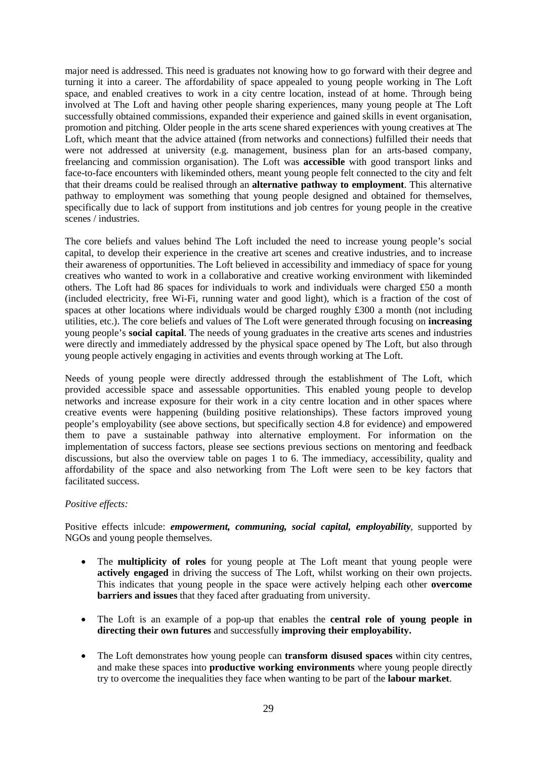major need is addressed. This need is graduates not knowing how to go forward with their degree and turning it into a career. The affordability of space appealed to young people working in The Loft space, and enabled creatives to work in a city centre location, instead of at home. Through being involved at The Loft and having other people sharing experiences, many young people at The Loft successfully obtained commissions, expanded their experience and gained skills in event organisation, promotion and pitching. Older people in the arts scene shared experiences with young creatives at The Loft, which meant that the advice attained (from networks and connections) fulfilled their needs that were not addressed at university (e.g. management, business plan for an arts-based company, freelancing and commission organisation). The Loft was **accessible** with good transport links and face-to-face encounters with likeminded others, meant young people felt connected to the city and felt that their dreams could be realised through an **alternative pathway to employment**. This alternative pathway to employment was something that young people designed and obtained for themselves, specifically due to lack of support from institutions and job centres for young people in the creative scenes / industries.

The core beliefs and values behind The Loft included the need to increase young people's social capital, to develop their experience in the creative art scenes and creative industries, and to increase their awareness of opportunities. The Loft believed in accessibility and immediacy of space for young creatives who wanted to work in a collaborative and creative working environment with likeminded others. The Loft had 86 spaces for individuals to work and individuals were charged £50 a month (included electricity, free Wi-Fi, running water and good light), which is a fraction of the cost of spaces at other locations where individuals would be charged roughly £300 a month (not including utilities, etc.). The core beliefs and values of The Loft were generated through focusing on **increasing**  young people's **social capital**. The needs of young graduates in the creative arts scenes and industries were directly and immediately addressed by the physical space opened by The Loft, but also through young people actively engaging in activities and events through working at The Loft.

Needs of young people were directly addressed through the establishment of The Loft, which provided accessible space and assessable opportunities. This enabled young people to develop networks and increase exposure for their work in a city centre location and in other spaces where creative events were happening (building positive relationships). These factors improved young people's employability (see above sections, but specifically section 4.8 for evidence) and empowered them to pave a sustainable pathway into alternative employment. For information on the implementation of success factors, please see sections previous sections on mentoring and feedback discussions, but also the overview table on pages 1 to 6. The immediacy, accessibility, quality and affordability of the space and also networking from The Loft were seen to be key factors that facilitated success.

#### *Positive effects:*

Positive effects inlcude: *empowerment, communing, social capital, employability*, supported by NGOs and young people themselves.

- The **multiplicity of roles** for young people at The Loft meant that young people were **actively engaged** in driving the success of The Loft, whilst working on their own projects. This indicates that young people in the space were actively helping each other **overcome barriers and issues** that they faced after graduating from university.
- The Loft is an example of a pop-up that enables the **central role of young people in directing their own futures** and successfully **improving their employability.**
- The Loft demonstrates how young people can **transform disused spaces** within city centres, and make these spaces into **productive working environments** where young people directly try to overcome the inequalities they face when wanting to be part of the **labour market**.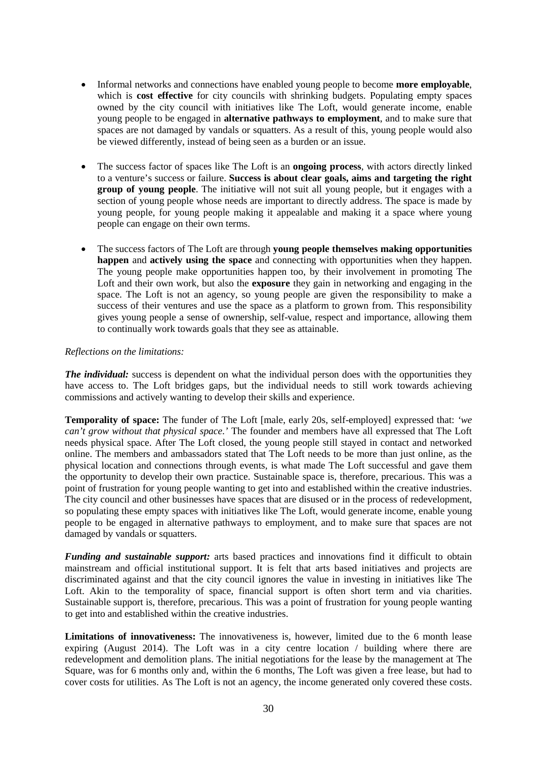- Informal networks and connections have enabled young people to become **more employable**, which is **cost effective** for city councils with shrinking budgets. Populating empty spaces owned by the city council with initiatives like The Loft, would generate income, enable young people to be engaged in **alternative pathways to employment**, and to make sure that spaces are not damaged by vandals or squatters. As a result of this, young people would also be viewed differently, instead of being seen as a burden or an issue.
- The success factor of spaces like The Loft is an **ongoing process**, with actors directly linked to a venture's success or failure. **Success is about clear goals, aims and targeting the right group of young people**. The initiative will not suit all young people, but it engages with a section of young people whose needs are important to directly address. The space is made by young people, for young people making it appealable and making it a space where young people can engage on their own terms.
- The success factors of The Loft are through **young people themselves making opportunities happen** and **actively using the space** and connecting with opportunities when they happen. The young people make opportunities happen too, by their involvement in promoting The Loft and their own work, but also the **exposure** they gain in networking and engaging in the space. The Loft is not an agency, so young people are given the responsibility to make a success of their ventures and use the space as a platform to grown from. This responsibility gives young people a sense of ownership, self-value, respect and importance, allowing them to continually work towards goals that they see as attainable.

#### *Reflections on the limitations:*

*The individual:* success is dependent on what the individual person does with the opportunities they have access to. The Loft bridges gaps, but the individual needs to still work towards achieving commissions and actively wanting to develop their skills and experience.

**Temporality of space:** The funder of The Loft [male, early 20s, self-employed] expressed that: *'we can't grow without that physical space.'* The founder and members have all expressed that The Loft needs physical space. After The Loft closed, the young people still stayed in contact and networked online. The members and ambassadors stated that The Loft needs to be more than just online, as the physical location and connections through events, is what made The Loft successful and gave them the opportunity to develop their own practice. Sustainable space is, therefore, precarious. This was a point of frustration for young people wanting to get into and established within the creative industries. The city council and other businesses have spaces that are disused or in the process of redevelopment, so populating these empty spaces with initiatives like The Loft, would generate income, enable young people to be engaged in alternative pathways to employment, and to make sure that spaces are not damaged by vandals or squatters.

*Funding and sustainable support:* arts based practices and innovations find it difficult to obtain mainstream and official institutional support. It is felt that arts based initiatives and projects are discriminated against and that the city council ignores the value in investing in initiatives like The Loft. Akin to the temporality of space, financial support is often short term and via charities. Sustainable support is, therefore, precarious. This was a point of frustration for young people wanting to get into and established within the creative industries.

**Limitations of innovativeness:** The innovativeness is, however, limited due to the 6 month lease expiring (August 2014). The Loft was in a city centre location / building where there are redevelopment and demolition plans. The initial negotiations for the lease by the management at The Square, was for 6 months only and, within the 6 months, The Loft was given a free lease, but had to cover costs for utilities. As The Loft is not an agency, the income generated only covered these costs.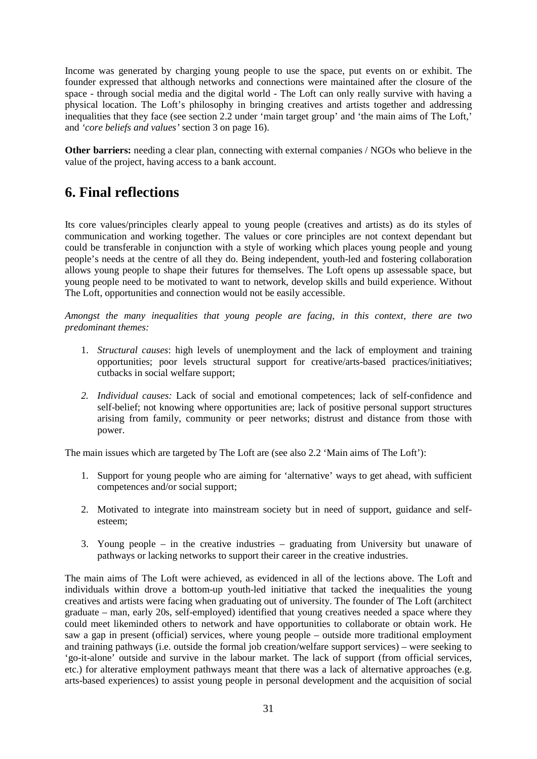Income was generated by charging young people to use the space, put events on or exhibit. The founder expressed that although networks and connections were maintained after the closure of the space - through social media and the digital world - The Loft can only really survive with having a physical location. The Loft's philosophy in bringing creatives and artists together and addressing inequalities that they face (see section 2.2 under 'main target group' and 'the main aims of The Loft,' and *'core beliefs and values'* section 3 on page 16).

**Other barriers:** needing a clear plan, connecting with external companies / NGOs who believe in the value of the project, having access to a bank account.

## <span id="page-30-0"></span>**6. Final reflections**

Its core values/principles clearly appeal to young people (creatives and artists) as do its styles of communication and working together. The values or core principles are not context dependant but could be transferable in conjunction with a style of working which places young people and young people's needs at the centre of all they do. Being independent, youth-led and fostering collaboration allows young people to shape their futures for themselves. The Loft opens up assessable space, but young people need to be motivated to want to network, develop skills and build experience. Without The Loft, opportunities and connection would not be easily accessible.

*Amongst the many inequalities that young people are facing, in this context, there are two predominant themes:*

- 1. *Structural causes*: high levels of unemployment and the lack of employment and training opportunities; poor levels structural support for creative/arts-based practices/initiatives; cutbacks in social welfare support;
- *2. Individual causes:* Lack of social and emotional competences; lack of self-confidence and self-belief; not knowing where opportunities are; lack of positive personal support structures arising from family, community or peer networks; distrust and distance from those with power.

The main issues which are targeted by The Loft are (see also 2.2 'Main aims of The Loft'):

- 1. Support for young people who are aiming for 'alternative' ways to get ahead, with sufficient competences and/or social support;
- 2. Motivated to integrate into mainstream society but in need of support, guidance and selfesteem;
- 3. Young people in the creative industries graduating from University but unaware of pathways or lacking networks to support their career in the creative industries.

The main aims of The Loft were achieved, as evidenced in all of the lections above. The Loft and individuals within drove a bottom-up youth-led initiative that tacked the inequalities the young creatives and artists were facing when graduating out of university. The founder of The Loft (architect graduate – man, early 20s, self-employed) identified that young creatives needed a space where they could meet likeminded others to network and have opportunities to collaborate or obtain work. He saw a gap in present (official) services, where young people – outside more traditional employment and training pathways (i.e. outside the formal job creation/welfare support services) – were seeking to 'go-it-alone' outside and survive in the labour market. The lack of support (from official services, etc.) for alterative employment pathways meant that there was a lack of alternative approaches (e.g. arts-based experiences) to assist young people in personal development and the acquisition of social